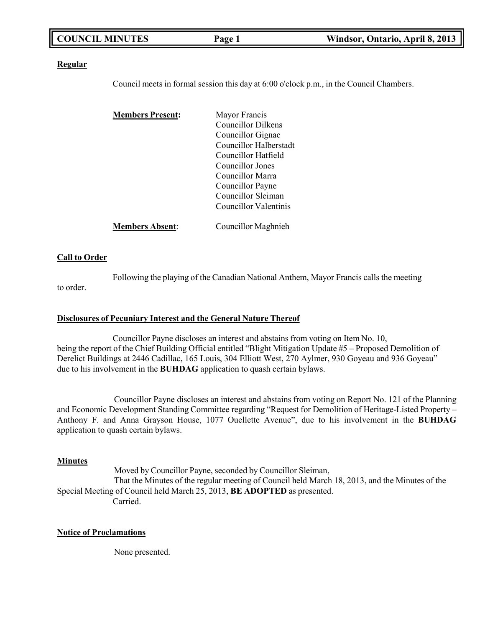| <b>COUNCIL MINUTES</b> | Page 1 | Windsor, Ontario, April 8, 2013 |
|------------------------|--------|---------------------------------|
|                        |        |                                 |

### **Regular**

Council meets in formal session this day at 6:00 o'clock p.m., in the Council Chambers.

| <b>Members Present:</b> | Mayor Francis             |
|-------------------------|---------------------------|
|                         | <b>Councillor Dilkens</b> |
|                         | Councillor Gignac         |
|                         | Councillor Halberstadt    |
|                         | Councillor Hatfield       |
|                         | Councillor Jones          |
|                         | Councillor Marra          |
|                         | Councillor Payne          |
|                         | Councillor Sleiman        |
|                         | Councillor Valentinis     |
| <b>Members Absent:</b>  | Councillor Maghnieh       |

### **Call to Order**

Following the playing of the Canadian National Anthem, Mayor Francis calls the meeting

# to order.

### **Disclosures of Pecuniary Interest and the General Nature Thereof**

Councillor Payne discloses an interest and abstains from voting on Item No. 10, being the report of the Chief Building Official entitled "Blight Mitigation Update #5 – Proposed Demolition of Derelict Buildings at 2446 Cadillac, 165 Louis, 304 Elliott West, 270 Aylmer, 930 Goyeau and 936 Goyeau" due to his involvement in the **BUHDAG** application to quash certain bylaws.

Councillor Payne discloses an interest and abstains from voting on Report No. 121 of the Planning and Economic Development Standing Committee regarding "Request for Demolition of Heritage-Listed Property – Anthony F. and Anna Grayson House, 1077 Ouellette Avenue", due to his involvement in the **BUHDAG** application to quash certain bylaws.

### **Minutes**

Moved by Councillor Payne, seconded by Councillor Sleiman, That the Minutes of the regular meeting of Council held March 18, 2013, and the Minutes of the Special Meeting of Council held March 25, 2013, **BE ADOPTED** as presented. Carried.

# **Notice of Proclamations**

None presented.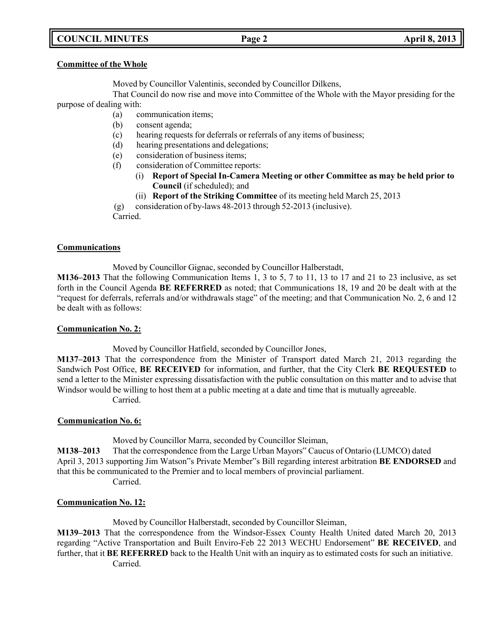# **COUNCIL MINUTES Page 2 April 8, 2013**

### **Committee of the Whole**

Moved by Councillor Valentinis, seconded by Councillor Dilkens,

That Council do now rise and move into Committee of the Whole with the Mayor presiding for the purpose of dealing with:

- (a) communication items;
- (b) consent agenda;
- (c) hearing requests for deferrals or referrals of any items of business;
- (d) hearing presentations and delegations;
- (e) consideration of business items;
- (f) consideration of Committee reports:
	- (i) **Report of Special In-Camera Meeting or other Committee as may be held prior to Council** (if scheduled); and
	- (ii) **Report of the Striking Committee** of its meeting held March 25, 2013

(g) consideration of by-laws 48-2013 through 52-2013 (inclusive).

Carried.

### **Communications**

Moved by Councillor Gignac, seconded by Councillor Halberstadt,

**M136–2013** That the following Communication Items 1, 3 to 5, 7 to 11, 13 to 17 and 21 to 23 inclusive, as set forth in the Council Agenda **BE REFERRED** as noted; that Communications 18, 19 and 20 be dealt with at the "request for deferrals, referrals and/or withdrawals stage" of the meeting; and that Communication No. 2, 6 and 12 be dealt with as follows:

## **Communication No. 2:**

Moved by Councillor Hatfield, seconded by Councillor Jones,

**M137–2013** That the correspondence from the Minister of Transport dated March 21, 2013 regarding the Sandwich Post Office, **BE RECEIVED** for information, and further, that the City Clerk **BE REQUESTED** to send a letter to the Minister expressing dissatisfaction with the public consultation on this matter and to advise that Windsor would be willing to host them at a public meeting at a date and time that is mutually agreeable. Carried.

## **Communication No. 6:**

Moved by Councillor Marra, seconded by Councillor Sleiman,

**M138–2013** That the correspondence from the Large Urban Mayors" Caucus of Ontario (LUMCO) dated April 3, 2013 supporting Jim Watson"s Private Member"s Bill regarding interest arbitration **BE ENDORSED** and that this be communicated to the Premier and to local members of provincial parliament. Carried.

# **Communication No. 12:**

Moved by Councillor Halberstadt, seconded by Councillor Sleiman,

**M139–2013** That the correspondence from the Windsor-Essex County Health United dated March 20, 2013 regarding "Active Transportation and Built Enviro-Feb 22 2013 WECHU Endorsement" **BE RECEIVED**, and further, that it **BE REFERRED** back to the Health Unit with an inquiry as to estimated costs for such an initiative. Carried.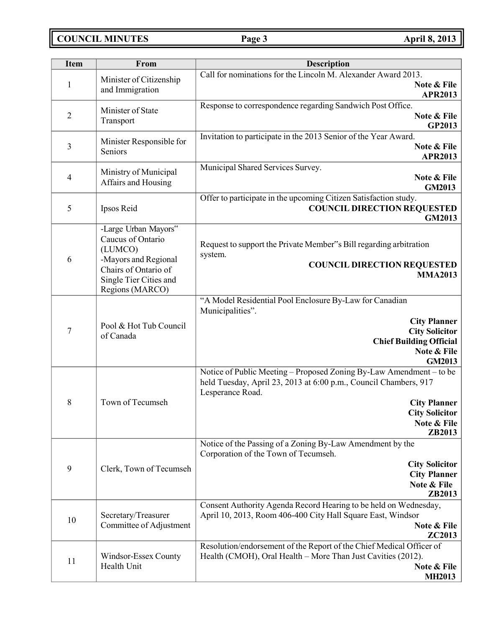# **COUNCIL MINUTES Page 3 April 8, 2013**

| <b>Item</b>    | From                                                                                                                                              | <b>Description</b>                                                                                                                                                                                                                   |
|----------------|---------------------------------------------------------------------------------------------------------------------------------------------------|--------------------------------------------------------------------------------------------------------------------------------------------------------------------------------------------------------------------------------------|
| 1              | Minister of Citizenship<br>and Immigration                                                                                                        | Call for nominations for the Lincoln M. Alexander Award 2013.<br>Note & File<br><b>APR2013</b>                                                                                                                                       |
| $\overline{2}$ | Minister of State<br>Transport                                                                                                                    | Response to correspondence regarding Sandwich Post Office.<br>Note & File<br>GP2013                                                                                                                                                  |
| 3              | Minister Responsible for<br>Seniors                                                                                                               | Invitation to participate in the 2013 Senior of the Year Award.<br>Note & File<br><b>APR2013</b>                                                                                                                                     |
| $\overline{4}$ | Ministry of Municipal<br>Affairs and Housing                                                                                                      | Municipal Shared Services Survey.<br>Note & File<br><b>GM2013</b>                                                                                                                                                                    |
| 5              | Ipsos Reid                                                                                                                                        | Offer to participate in the upcoming Citizen Satisfaction study.<br><b>COUNCIL DIRECTION REQUESTED</b><br>GM2013                                                                                                                     |
| 6              | -Large Urban Mayors"<br>Caucus of Ontario<br>(LUMCO)<br>-Mayors and Regional<br>Chairs of Ontario of<br>Single Tier Cities and<br>Regions (MARCO) | Request to support the Private Member"s Bill regarding arbitration<br>system.<br><b>COUNCIL DIRECTION REQUESTED</b><br><b>MMA2013</b>                                                                                                |
| 7              | Pool & Hot Tub Council<br>of Canada                                                                                                               | "A Model Residential Pool Enclosure By-Law for Canadian<br>Municipalities".<br><b>City Planner</b><br><b>City Solicitor</b><br><b>Chief Building Official</b><br>Note & File<br><b>GM2013</b>                                        |
| 8              | Town of Tecumseh                                                                                                                                  | Notice of Public Meeting - Proposed Zoning By-Law Amendment - to be<br>held Tuesday, April 23, 2013 at 6:00 p.m., Council Chambers, 917<br>Lesperance Road.<br><b>City Planner</b><br><b>City Solicitor</b><br>Note & File<br>ZB2013 |
| 9              | Clerk, Town of Tecumseh                                                                                                                           | Notice of the Passing of a Zoning By-Law Amendment by the<br>Corporation of the Town of Tecumseh.<br><b>City Solicitor</b><br><b>City Planner</b><br>Note & File<br>ZB2013                                                           |
| 10             | Secretary/Treasurer<br>Committee of Adjustment                                                                                                    | Consent Authority Agenda Record Hearing to be held on Wednesday,<br>April 10, 2013, Room 406-400 City Hall Square East, Windsor<br>Note & File<br>ZC2013                                                                             |
| 11             | Windsor-Essex County<br>Health Unit                                                                                                               | Resolution/endorsement of the Report of the Chief Medical Officer of<br>Health (CMOH), Oral Health - More Than Just Cavities (2012).<br>Note & File<br><b>MH2013</b>                                                                 |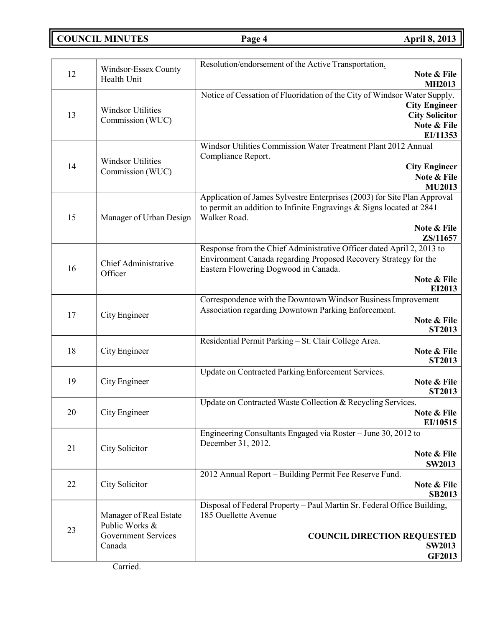**COUNCIL MINUTES Page 4 April 8, 2013**

| 12 | Windsor-Essex County<br>Health Unit          | Resolution/endorsement of the Active Transportation.<br>Note & File                                                  |
|----|----------------------------------------------|----------------------------------------------------------------------------------------------------------------------|
|    |                                              | <b>MH2013</b>                                                                                                        |
|    |                                              | Notice of Cessation of Fluoridation of the City of Windsor Water Supply.                                             |
|    | <b>Windsor Utilities</b>                     | <b>City Engineer</b>                                                                                                 |
| 13 | Commission (WUC)                             | <b>City Solicitor</b><br>Note & File                                                                                 |
|    |                                              | EI/11353                                                                                                             |
|    |                                              | Windsor Utilities Commission Water Treatment Plant 2012 Annual                                                       |
|    |                                              | Compliance Report.                                                                                                   |
| 14 | <b>Windsor Utilities</b><br>Commission (WUC) | <b>City Engineer</b>                                                                                                 |
|    |                                              | Note & File                                                                                                          |
|    |                                              | <b>MU2013</b>                                                                                                        |
|    |                                              | Application of James Sylvestre Enterprises (2003) for Site Plan Approval                                             |
| 15 | Manager of Urban Design                      | to permit an addition to Infinite Engravings & Signs located at 2841<br>Walker Road.                                 |
|    |                                              | Note & File                                                                                                          |
|    |                                              | ZS/11657                                                                                                             |
|    |                                              | Response from the Chief Administrative Officer dated April 2, 2013 to                                                |
|    | Chief Administrative                         | Environment Canada regarding Proposed Recovery Strategy for the                                                      |
| 16 | Officer                                      | Eastern Flowering Dogwood in Canada.                                                                                 |
|    |                                              | Note & File                                                                                                          |
|    |                                              | EI2013                                                                                                               |
|    |                                              | Correspondence with the Downtown Windsor Business Improvement<br>Association regarding Downtown Parking Enforcement. |
| 17 | City Engineer                                | Note & File                                                                                                          |
|    |                                              | <b>ST2013</b>                                                                                                        |
|    |                                              | Residential Permit Parking - St. Clair College Area.                                                                 |
| 18 | City Engineer                                | Note & File                                                                                                          |
|    |                                              | <b>ST2013</b>                                                                                                        |
|    |                                              | Update on Contracted Parking Enforcement Services.                                                                   |
| 19 | City Engineer                                | Note & File<br><b>ST2013</b>                                                                                         |
|    |                                              | Update on Contracted Waste Collection & Recycling Services.                                                          |
| 20 | City Engineer                                | Note & File                                                                                                          |
|    |                                              | EI/10515                                                                                                             |
|    |                                              | Engineering Consultants Engaged via Roster - June 30, 2012 to                                                        |
| 21 | City Solicitor                               | December 31, 2012.                                                                                                   |
|    |                                              | Note & File                                                                                                          |
|    |                                              | <b>SW2013</b>                                                                                                        |
| 22 | City Solicitor                               | 2012 Annual Report - Building Permit Fee Reserve Fund.<br>Note & File                                                |
|    |                                              | <b>SB2013</b>                                                                                                        |
|    |                                              | Disposal of Federal Property - Paul Martin Sr. Federal Office Building,                                              |
| 23 | Manager of Real Estate                       | 185 Ouellette Avenue                                                                                                 |
|    | Public Works &                               |                                                                                                                      |
|    | Government Services                          | <b>COUNCIL DIRECTION REQUESTED</b>                                                                                   |
|    | Canada                                       | <b>SW2013</b>                                                                                                        |
|    |                                              | <b>GF2013</b>                                                                                                        |

Carried.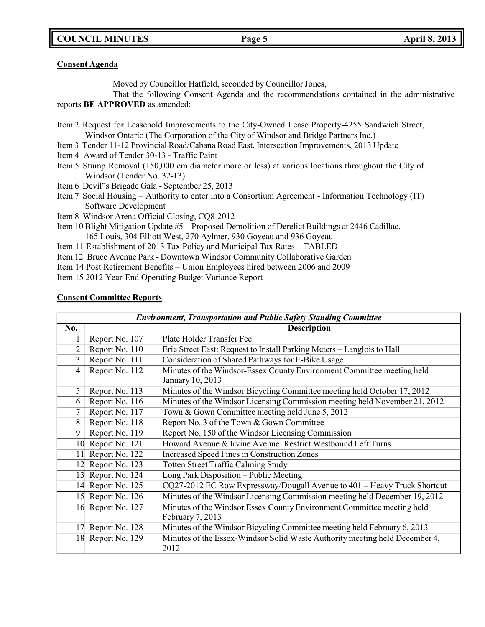**COUNCIL MINUTES Page 5 April 8, 2013**

## **Consent Agenda**

Moved by Councillor Hatfield, seconded by Councillor Jones,

That the following Consent Agenda and the recommendations contained in the administrative reports **BE APPROVED** as amended:

- Item 2 Request for Leasehold Improvements to the City-Owned Lease Property-4255 Sandwich Street, Windsor Ontario (The Corporation of the City of Windsor and Bridge Partners Inc.)
- Item 3 Tender 11-12 Provincial Road/Cabana Road East, Intersection Improvements, 2013 Update
- Item 4 Award of Tender 30-13 Traffic Paint
- Item 5 Stump Removal (150,000 cm diameter more or less) at various locations throughout the City of Windsor (Tender No. 32-13)
- Item 6 Devil"s Brigade Gala September 25, 2013
- Item 7 Social Housing Authority to enter into a Consortium Agreement Information Technology (IT) Software Development
- Item 8 Windsor Arena Official Closing, CQ8-2012
- Item 10 Blight Mitigation Update #5 Proposed Demolition of Derelict Buildings at 2446 Cadillac, 165 Louis, 304 Elliott West, 270 Aylmer, 930 Goyeau and 936 Goyeau
- Item 11 Establishment of 2013 Tax Policy and Municipal Tax Rates TABLED
- Item 12 Bruce Avenue Park Downtown Windsor Community Collaborative Garden
- Item 14 Post Retirement Benefits Union Employees hired between 2006 and 2009
- Item 15 2012 Year-End Operating Budget Variance Report

| <b>Environment, Transportation and Public Safety Standing Committee</b> |                   |                                                                                     |
|-------------------------------------------------------------------------|-------------------|-------------------------------------------------------------------------------------|
| No.                                                                     |                   | <b>Description</b>                                                                  |
|                                                                         | Report No. 107    | Plate Holder Transfer Fee                                                           |
| $\overline{2}$                                                          | Report No. 110    | Erie Street East: Request to Install Parking Meters - Langlois to Hall              |
| 3                                                                       | Report No. 111    | Consideration of Shared Pathways for E-Bike Usage                                   |
| 4                                                                       | Report No. 112    | Minutes of the Windsor-Essex County Environment Committee meeting held              |
|                                                                         |                   | January 10, 2013                                                                    |
| 5                                                                       | Report No. 113    | Minutes of the Windsor Bicycling Committee meeting held October 17, 2012            |
| 6                                                                       | Report No. 116    | Minutes of the Windsor Licensing Commission meeting held November 21, 2012          |
| 7                                                                       | Report No. 117    | Town & Gown Committee meeting held June 5, 2012                                     |
| 8                                                                       | Report No. 118    | Report No. 3 of the Town & Gown Committee                                           |
| 9                                                                       | Report No. 119    | Report No. 150 of the Windsor Licensing Commission                                  |
|                                                                         | 10 Report No. 121 | Howard Avenue & Irvine Avenue: Restrict Westbound Left Turns                        |
| 11                                                                      | Report No. 122    | <b>Increased Speed Fines in Construction Zones</b>                                  |
| 12                                                                      | Report No. 123    | <b>Totten Street Traffic Calming Study</b>                                          |
| 13                                                                      | Report No. 124    | Long Park Disposition - Public Meeting                                              |
|                                                                         | 14 Report No. 125 | CQ27-2012 EC Row Expressway/Dougall Avenue to 401 - Heavy Truck Shortcut            |
| 15                                                                      | Report No. 126    | Minutes of the Windsor Licensing Commission meeting held December 19, 2012          |
|                                                                         | 16 Report No. 127 | Minutes of the Windsor Essex County Environment Committee meeting held              |
|                                                                         |                   | February 7, 2013                                                                    |
| 17                                                                      | Report No. 128    | Minutes of the Windsor Bicycling Committee meeting held February 6, 2013            |
|                                                                         | 18 Report No. 129 | Minutes of the Essex-Windsor Solid Waste Authority meeting held December 4,<br>2012 |

### **Consent Committee Reports**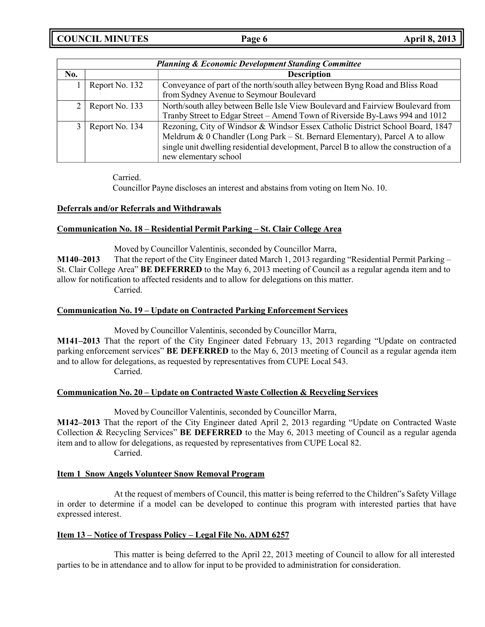**COUNCIL MINUTES Page 6 April 8, 2013**

|     | <b>Planning &amp; Economic Development Standing Committee</b> |                                                                                       |  |
|-----|---------------------------------------------------------------|---------------------------------------------------------------------------------------|--|
| No. |                                                               | <b>Description</b>                                                                    |  |
|     | Report No. 132                                                | Conveyance of part of the north/south alley between Byng Road and Bliss Road          |  |
|     |                                                               | from Sydney Avenue to Seymour Boulevard                                               |  |
|     | Report No. 133                                                | North/south alley between Belle Isle View Boulevard and Fairview Boulevard from       |  |
|     |                                                               | Tranby Street to Edgar Street - Amend Town of Riverside By-Laws 994 and 1012          |  |
|     | Report No. 134                                                | Rezoning, City of Windsor & Windsor Essex Catholic District School Board, 1847        |  |
|     |                                                               | Meldrum & 0 Chandler (Long Park – St. Bernard Elementary), Parcel A to allow          |  |
|     |                                                               | single unit dwelling residential development, Parcel B to allow the construction of a |  |
|     |                                                               | new elementary school                                                                 |  |

Carried.

Councillor Payne discloses an interest and abstains from voting on Item No. 10.

# **Deferrals and/or Referrals and Withdrawals**

# **Communication No. 18 – Residential Permit Parking – St. Clair College Area**

Moved by Councillor Valentinis, seconded by Councillor Marra,

**M140–2013** That the report of the City Engineer dated March 1, 2013 regarding "Residential Permit Parking – St. Clair College Area" **BE DEFERRED** to the May 6, 2013 meeting of Council as a regular agenda item and to allow for notification to affected residents and to allow for delegations on this matter. Carried.

# **Communication No. 19 – Update on Contracted Parking Enforcement Services**

Moved by Councillor Valentinis, seconded by Councillor Marra,

**M141–2013** That the report of the City Engineer dated February 13, 2013 regarding "Update on contracted parking enforcement services" **BE DEFERRED** to the May 6, 2013 meeting of Council as a regular agenda item and to allow for delegations, as requested by representatives from CUPE Local 543. Carried.

## **Communication No. 20 – Update on Contracted Waste Collection & Recycling Services**

Moved by Councillor Valentinis, seconded by Councillor Marra,

**M142–2013** That the report of the City Engineer dated April 2, 2013 regarding "Update on Contracted Waste Collection & Recycling Services" **BE DEFERRED** to the May 6, 2013 meeting of Council as a regular agenda item and to allow for delegations, as requested by representatives from CUPE Local 82. Carried.

## **Item 1 Snow Angels Volunteer Snow Removal Program**

At the request of members of Council, this matter is being referred to the Children"s Safety Village in order to determine if a model can be developed to continue this program with interested parties that have expressed interest.

## **Item 13 – Notice of Trespass Policy – Legal File No. ADM 6257**

This matter is being deferred to the April 22, 2013 meeting of Council to allow for all interested parties to be in attendance and to allow for input to be provided to administration for consideration.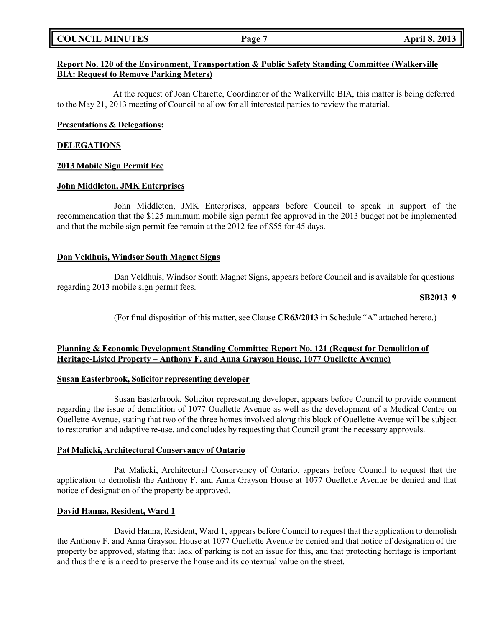# **COUNCIL MINUTES Page 7 April 8, 2013**

# **Report No. 120 of the Environment, Transportation & Public Safety Standing Committee (Walkerville BIA: Request to Remove Parking Meters)**

At the request of Joan Charette, Coordinator of the Walkerville BIA, this matter is being deferred to the May 21, 2013 meeting of Council to allow for all interested parties to review the material.

## **Presentations & Delegations:**

### **DELEGATIONS**

### **2013 Mobile Sign Permit Fee**

### **John Middleton, JMK Enterprises**

John Middleton, JMK Enterprises, appears before Council to speak in support of the recommendation that the \$125 minimum mobile sign permit fee approved in the 2013 budget not be implemented and that the mobile sign permit fee remain at the 2012 fee of \$55 for 45 days.

## **Dan Veldhuis, Windsor South Magnet Signs**

Dan Veldhuis, Windsor South Magnet Signs, appears before Council and is available for questions regarding 2013 mobile sign permit fees.

### **SB2013 9**

(For final disposition of this matter, see Clause **CR63/2013** in Schedule "A" attached hereto.)

# **Planning & Economic Development Standing Committee Report No. 121 (Request for Demolition of Heritage-Listed Property – Anthony F. and Anna Grayson House, 1077 Ouellette Avenue)**

### **Susan Easterbrook, Solicitor representing developer**

Susan Easterbrook, Solicitor representing developer, appears before Council to provide comment regarding the issue of demolition of 1077 Ouellette Avenue as well as the development of a Medical Centre on Ouellette Avenue, stating that two of the three homes involved along this block of Ouellette Avenue will be subject to restoration and adaptive re-use, and concludes by requesting that Council grant the necessary approvals.

### **Pat Malicki, Architectural Conservancy of Ontario**

Pat Malicki, Architectural Conservancy of Ontario, appears before Council to request that the application to demolish the Anthony F. and Anna Grayson House at 1077 Ouellette Avenue be denied and that notice of designation of the property be approved.

## **David Hanna, Resident, Ward 1**

David Hanna, Resident, Ward 1, appears before Council to request that the application to demolish the Anthony F. and Anna Grayson House at 1077 Ouellette Avenue be denied and that notice of designation of the property be approved, stating that lack of parking is not an issue for this, and that protecting heritage is important and thus there is a need to preserve the house and its contextual value on the street.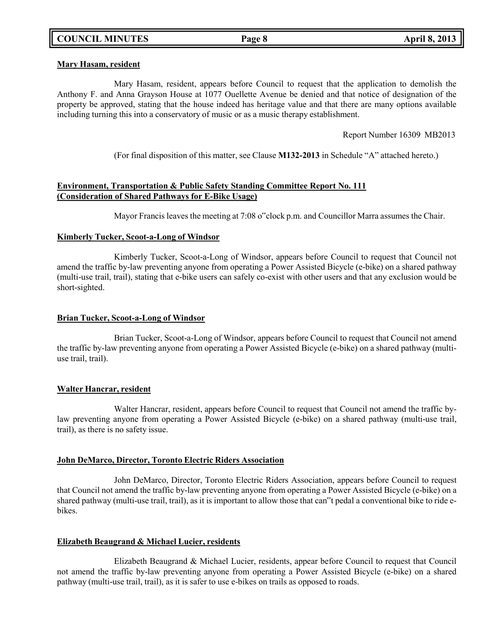### **Mary Hasam, resident**

Mary Hasam, resident, appears before Council to request that the application to demolish the Anthony F. and Anna Grayson House at 1077 Ouellette Avenue be denied and that notice of designation of the property be approved, stating that the house indeed has heritage value and that there are many options available including turning this into a conservatory of music or as a music therapy establishment.

Report Number 16309 MB2013

(For final disposition of this matter, see Clause **M132-2013** in Schedule "A" attached hereto.)

# **Environment, Transportation & Public Safety Standing Committee Report No. 111 (Consideration of Shared Pathways for E-Bike Usage)**

Mayor Francis leaves the meeting at 7:08 o"clock p.m. and Councillor Marra assumes the Chair.

## **Kimberly Tucker, Scoot-a-Long of Windsor**

Kimberly Tucker, Scoot-a-Long of Windsor, appears before Council to request that Council not amend the traffic by-law preventing anyone from operating a Power Assisted Bicycle (e-bike) on a shared pathway (multi-use trail, trail), stating that e-bike users can safely co-exist with other users and that any exclusion would be short-sighted.

## **Brian Tucker, Scoot-a-Long of Windsor**

Brian Tucker, Scoot-a-Long of Windsor, appears before Council to request that Council not amend the traffic by-law preventing anyone from operating a Power Assisted Bicycle (e-bike) on a shared pathway (multiuse trail, trail).

## **Walter Hancrar, resident**

Walter Hancrar, resident, appears before Council to request that Council not amend the traffic bylaw preventing anyone from operating a Power Assisted Bicycle (e-bike) on a shared pathway (multi-use trail, trail), as there is no safety issue.

## **John DeMarco, Director, Toronto Electric Riders Association**

John DeMarco, Director, Toronto Electric Riders Association, appears before Council to request that Council not amend the traffic by-law preventing anyone from operating a Power Assisted Bicycle (e-bike) on a shared pathway (multi-use trail, trail), as it is important to allow those that can"t pedal a conventional bike to ride ebikes.

## **Elizabeth Beaugrand & Michael Lucier, residents**

Elizabeth Beaugrand & Michael Lucier, residents, appear before Council to request that Council not amend the traffic by-law preventing anyone from operating a Power Assisted Bicycle (e-bike) on a shared pathway (multi-use trail, trail), as it is safer to use e-bikes on trails as opposed to roads.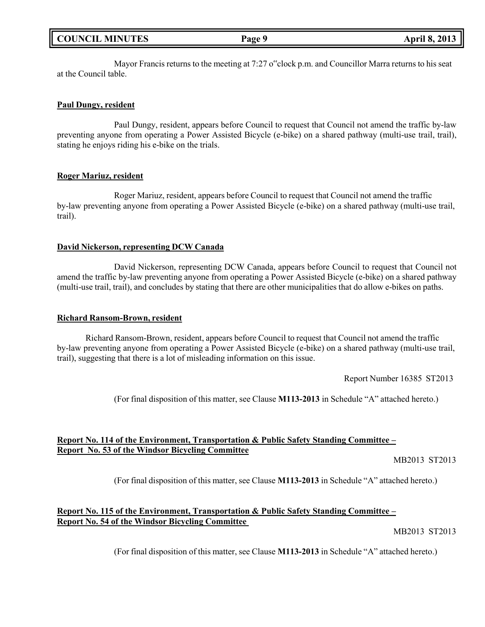|  | <b>COUNCIL MINUTES</b> |
|--|------------------------|
|--|------------------------|

Mayor Francis returns to the meeting at 7:27 o"clock p.m. and Councillor Marra returns to his seat at the Council table.

# **Paul Dungy, resident**

Paul Dungy, resident, appears before Council to request that Council not amend the traffic by-law preventing anyone from operating a Power Assisted Bicycle (e-bike) on a shared pathway (multi-use trail, trail), stating he enjoys riding his e-bike on the trials.

## **Roger Mariuz, resident**

Roger Mariuz, resident, appears before Council to request that Council not amend the traffic by-law preventing anyone from operating a Power Assisted Bicycle (e-bike) on a shared pathway (multi-use trail, trail).

# **David Nickerson, representing DCW Canada**

David Nickerson, representing DCW Canada, appears before Council to request that Council not amend the traffic by-law preventing anyone from operating a Power Assisted Bicycle (e-bike) on a shared pathway (multi-use trail, trail), and concludes by stating that there are other municipalities that do allow e-bikes on paths.

# **Richard Ransom-Brown, resident**

Richard Ransom-Brown, resident, appears before Council to request that Council not amend the traffic by-law preventing anyone from operating a Power Assisted Bicycle (e-bike) on a shared pathway (multi-use trail, trail), suggesting that there is a lot of misleading information on this issue.

Report Number 16385 ST2013

(For final disposition of this matter, see Clause **M113-2013** in Schedule "A" attached hereto.)

# **Report No. 114 of the Environment, Transportation & Public Safety Standing Committee – Report No. 53 of the Windsor Bicycling Committee**

MB2013 ST2013

(For final disposition of this matter, see Clause **M113-2013** in Schedule "A" attached hereto.)

# **Report No. 115 of the Environment, Transportation & Public Safety Standing Committee – Report No. 54 of the Windsor Bicycling Committee**

MB2013 ST2013

(For final disposition of this matter, see Clause **M113-2013** in Schedule "A" attached hereto.)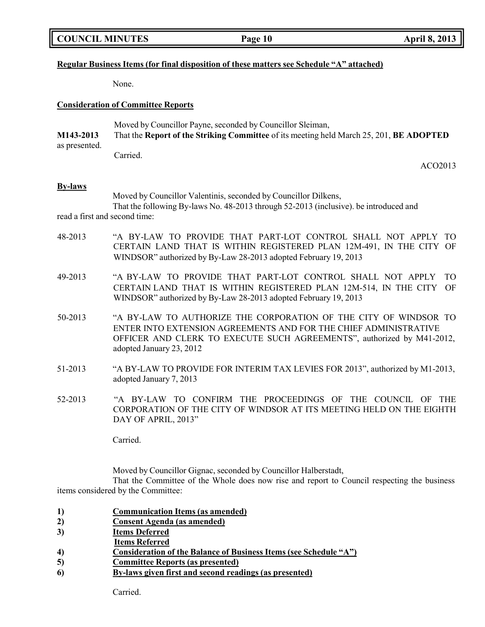|  | <b>COUNCIL MINUTES</b> |
|--|------------------------|
|--|------------------------|

# **Regular Business Items (for final disposition of these matters see Schedule "A" attached)**

None.

### **Consideration of Committee Reports**

|                                                                                                      | Moved by Councillor Payne, seconded by Councillor Sleiman, |
|------------------------------------------------------------------------------------------------------|------------------------------------------------------------|
| M143-2013<br>That the Report of the Striking Committee of its meeting held March 25, 201, BE ADOPTED |                                                            |
| as presented.                                                                                        |                                                            |
|                                                                                                      | Carried.                                                   |

### **By-laws**

Moved by Councillor Valentinis, seconded by Councillor Dilkens, That the following By-laws No. 48-2013 through 52-2013 (inclusive). be introduced and

read a first and second time:

- 48-2013 "A BY-LAW TO PROVIDE THAT PART-LOT CONTROL SHALL NOT APPLY TO CERTAIN LAND THAT IS WITHIN REGISTERED PLAN 12M-491, IN THE CITY OF WINDSOR" authorized by By-Law 28-2013 adopted February 19, 2013
- 49-2013 "A BY-LAW TO PROVIDE THAT PART-LOT CONTROL SHALL NOT APPLY TO CERTAIN LAND THAT IS WITHIN REGISTERED PLAN 12M-514, IN THE CITY OF WINDSOR" authorized by By-Law 28-2013 adopted February 19, 2013
- 50-2013 "A BY-LAW TO AUTHORIZE THE CORPORATION OF THE CITY OF WINDSOR TO ENTER INTO EXTENSION AGREEMENTS AND FOR THE CHIEF ADMINISTRATIVE OFFICER AND CLERK TO EXECUTE SUCH AGREEMENTS", authorized by M41-2012, adopted January 23, 2012
- 51-2013 "A BY-LAW TO PROVIDE FOR INTERIM TAX LEVIES FOR 2013", authorized by M1-2013, adopted January 7, 2013
- 52-2013 "A BY-LAW TO CONFIRM THE PROCEEDINGS OF THE COUNCIL OF THE CORPORATION OF THE CITY OF WINDSOR AT ITS MEETING HELD ON THE EIGHTH DAY OF APRIL, 2013"

Carried.

Moved by Councillor Gignac, seconded by Councillor Halberstadt,

That the Committee of the Whole does now rise and report to Council respecting the business items considered by the Committee:

- **1) Communication Items (as amended)**
- **2) Consent Agenda (as amended)**
- **3) Items Deferred**
- **Items Referred**
- **4) Consideration of the Balance of Business Items (see Schedule "A")**
- **5) Committee Reports (as presented)**
- **6) By-laws given first and second readings (as presented)**

Carried.

ACO2013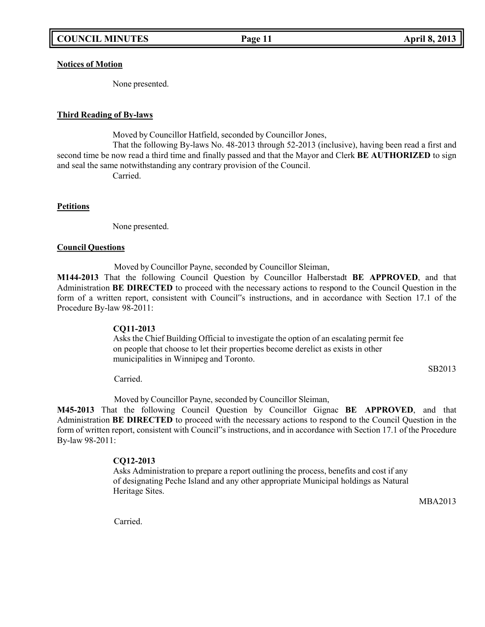**Notices of Motion**

None presented.

## **Third Reading of By-laws**

Moved by Councillor Hatfield, seconded by Councillor Jones,

That the following By-laws No. 48-2013 through 52-2013 (inclusive), having been read a first and second time be now read a third time and finally passed and that the Mayor and Clerk **BE AUTHORIZED** to sign and seal the same notwithstanding any contrary provision of the Council.

Carried.

## **Petitions**

None presented.

### **Council Questions**

Moved by Councillor Payne, seconded by Councillor Sleiman,

**M144-2013** That the following Council Question by Councillor Halberstadt **BE APPROVED**, and that Administration **BE DIRECTED** to proceed with the necessary actions to respond to the Council Question in the form of a written report, consistent with Council"s instructions, and in accordance with Section 17.1 of the Procedure By-law 98-2011:

## **CQ11-2013**

Asks the Chief Building Official to investigate the option of an escalating permit fee on people that choose to let their properties become derelict as exists in other municipalities in Winnipeg and Toronto.

SB2013

Carried.

Moved by Councillor Payne, seconded by Councillor Sleiman,

**M45-2013** That the following Council Question by Councillor Gignac **BE APPROVED**, and that Administration **BE DIRECTED** to proceed with the necessary actions to respond to the Council Question in the form of written report, consistent with Council"s instructions, and in accordance with Section 17.1 of the Procedure By-law 98-2011:

# **CQ12-2013**

Asks Administration to prepare a report outlining the process, benefits and cost if any of designating Peche Island and any other appropriate Municipal holdings as Natural Heritage Sites.

MBA2013

Carried.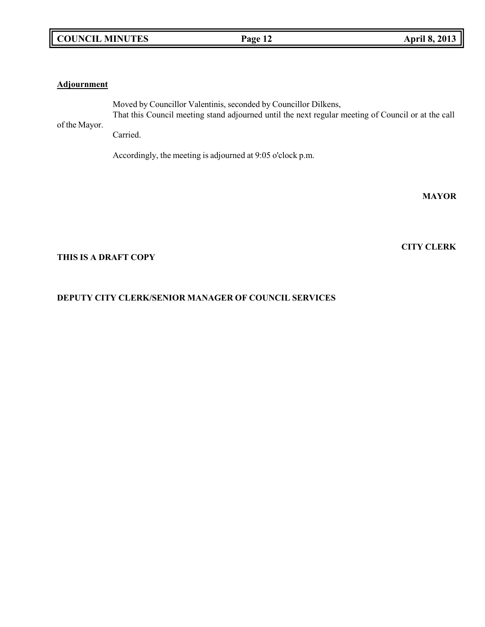# **Adjournment**

of the Mayor. Moved by Councillor Valentinis, seconded by Councillor Dilkens, That this Council meeting stand adjourned until the next regular meeting of Council or at the call

Carried.

Accordingly, the meeting is adjourned at 9:05 o'clock p.m.

**MAYOR**

**CITY CLERK**

# **THIS IS A DRAFT COPY**

# **DEPUTY CITY CLERK/SENIOR MANAGER OF COUNCIL SERVICES**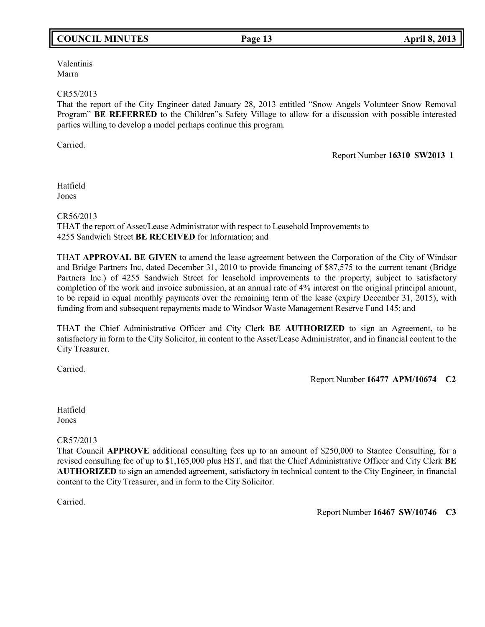# **COUNCIL MINUTES Page 13 April 8, 2013**

Valentinis Marra

### CR55/2013

That the report of the City Engineer dated January 28, 2013 entitled "Snow Angels Volunteer Snow Removal Program" **BE REFERRED** to the Children"s Safety Village to allow for a discussion with possible interested parties willing to develop a model perhaps continue this program.

Carried.

### Report Number **16310 SW2013 1**

Hatfield Jones

CR56/2013

THAT the report of Asset/Lease Administrator with respect to Leasehold Improvements to 4255 Sandwich Street **BE RECEIVED** for Information; and

THAT **APPROVAL BE GIVEN** to amend the lease agreement between the Corporation of the City of Windsor and Bridge Partners Inc, dated December 31, 2010 to provide financing of \$87,575 to the current tenant (Bridge Partners Inc.) of 4255 Sandwich Street for leasehold improvements to the property, subject to satisfactory completion of the work and invoice submission, at an annual rate of 4% interest on the original principal amount, to be repaid in equal monthly payments over the remaining term of the lease (expiry December 31, 2015), with funding from and subsequent repayments made to Windsor Waste Management Reserve Fund 145; and

THAT the Chief Administrative Officer and City Clerk **BE AUTHORIZED** to sign an Agreement, to be satisfactory in form to the City Solicitor, in content to the Asset/Lease Administrator, and in financial content to the City Treasurer.

Carried.

Report Number **16477 APM/10674 C2**

Hatfield Jones

CR57/2013

That Council **APPROVE** additional consulting fees up to an amount of \$250,000 to Stantec Consulting, for a revised consulting fee of up to \$1,165,000 plus HST, and that the Chief Administrative Officer and City Clerk **BE AUTHORIZED** to sign an amended agreement, satisfactory in technical content to the City Engineer, in financial content to the City Treasurer, and in form to the City Solicitor.

Carried.

Report Number **16467 SW/10746 C3**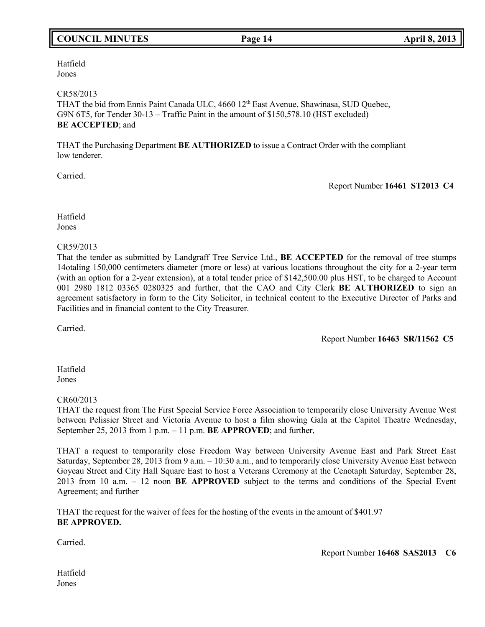# **COUNCIL MINUTES Page 14 April 8, 2013**

Hatfield Jones

### CR58/2013

THAT the bid from Ennis Paint Canada ULC, 4660 12<sup>th</sup> East Avenue, Shawinasa, SUD Quebec, G9N 6T5, for Tender 30-13 – Traffic Paint in the amount of \$150,578.10 (HST excluded) **BE ACCEPTED**; and

THAT the Purchasing Department **BE AUTHORIZED** to issue a Contract Order with the compliant low tenderer.

Carried.

Report Number **16461 ST2013 C4**

Hatfield Jones

### CR59/2013

That the tender as submitted by Landgraff Tree Service Ltd., **BE ACCEPTED** for the removal of tree stumps 14otaling 150,000 centimeters diameter (more or less) at various locations throughout the city for a 2-year term (with an option for a 2-year extension), at a total tender price of \$142,500.00 plus HST, to be charged to Account 001 2980 1812 03365 0280325 and further, that the CAO and City Clerk **BE AUTHORIZED** to sign an agreement satisfactory in form to the City Solicitor, in technical content to the Executive Director of Parks and Facilities and in financial content to the City Treasurer.

Carried.

Report Number **16463 SR/11562 C5**

Hatfield Jones

## CR60/2013

THAT the request from The First Special Service Force Association to temporarily close University Avenue West between Pelissier Street and Victoria Avenue to host a film showing Gala at the Capitol Theatre Wednesday, September 25, 2013 from 1 p.m. – 11 p.m. **BE APPROVED**; and further,

THAT a request to temporarily close Freedom Way between University Avenue East and Park Street East Saturday, September 28, 2013 from 9 a.m. – 10:30 a.m., and to temporarily close University Avenue East between Goyeau Street and City Hall Square East to host a Veterans Ceremony at the Cenotaph Saturday, September 28, 2013 from 10 a.m. – 12 noon **BE APPROVED** subject to the terms and conditions of the Special Event Agreement; and further

THAT the request for the waiver of fees for the hosting of the events in the amount of \$401.97 **BE APPROVED.**

Carried.

Report Number **16468 SAS2013 C6**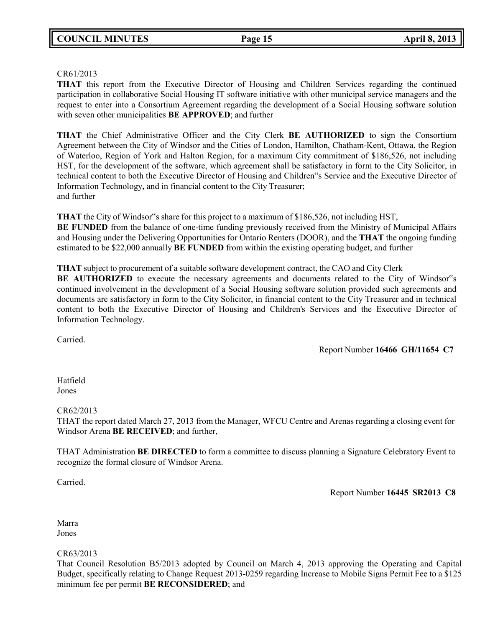# CR61/2013

**THAT** this report from the Executive Director of Housing and Children Services regarding the continued participation in collaborative Social Housing IT software initiative with other municipal service managers and the request to enter into a Consortium Agreement regarding the development of a Social Housing software solution with seven other municipalities **BE APPROVED**; and further

**THAT** the Chief Administrative Officer and the City Clerk **BE AUTHORIZED** to sign the Consortium Agreement between the City of Windsor and the Cities of London, Hamilton, Chatham-Kent, Ottawa, the Region of Waterloo, Region of York and Halton Region, for a maximum City commitment of \$186,526, not including HST, for the development of the software, which agreement shall be satisfactory in form to the City Solicitor, in technical content to both the Executive Director of Housing and Children"s Service and the Executive Director of Information Technology**,** and in financial content to the City Treasurer; and further

**THAT** the City of Windsor"s share for this project to a maximum of \$186,526, not including HST, **BE FUNDED** from the balance of one-time funding previously received from the Ministry of Municipal Affairs and Housing under the Delivering Opportunities for Ontario Renters (DOOR), and the **THAT** the ongoing funding estimated to be \$22,000 annually **BE FUNDED** from within the existing operating budget, and further

**THAT** subject to procurement of a suitable software development contract, the CAO and City Clerk

**BE AUTHORIZED** to execute the necessary agreements and documents related to the City of Windsor"s continued involvement in the development of a Social Housing software solution provided such agreements and documents are satisfactory in form to the City Solicitor, in financial content to the City Treasurer and in technical content to both the Executive Director of Housing and Children's Services and the Executive Director of Information Technology.

Carried.

Report Number **16466 GH/11654 C7**

Hatfield Jones

CR62/2013

THAT the report dated March 27, 2013 from the Manager, WFCU Centre and Arenas regarding a closing event for Windsor Arena **BE RECEIVED**; and further,

THAT Administration **BE DIRECTED** to form a committee to discuss planning a Signature Celebratory Event to recognize the formal closure of Windsor Arena.

Carried.

Report Number **16445 SR2013 C8**

Marra Jones

CR63/2013

That Council Resolution B5/2013 adopted by Council on March 4, 2013 approving the Operating and Capital Budget, specifically relating to Change Request 2013-0259 regarding Increase to Mobile Signs Permit Fee to a \$125 minimum fee per permit **BE RECONSIDERED**; and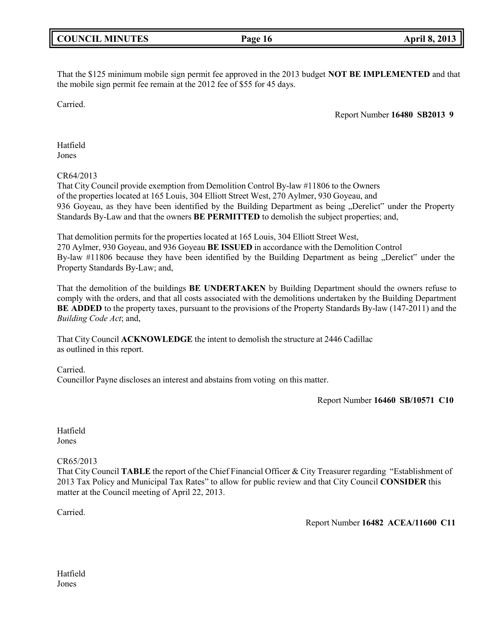|  | <b>COUNCIL MINUTES</b> |
|--|------------------------|
|--|------------------------|

# That the \$125 minimum mobile sign permit fee approved in the 2013 budget **NOT BE IMPLEMENTED** and that the mobile sign permit fee remain at the 2012 fee of \$55 for 45 days.

Carried.

Report Number **16480 SB2013 9**

Hatfield Jones

# CR64/2013

That City Council provide exemption from Demolition Control By-law #11806 to the Owners of the properties located at 165 Louis, 304 Elliott Street West, 270 Aylmer, 930 Goyeau, and 936 Goyeau, as they have been identified by the Building Department as being "Derelict" under the Property Standards By-Law and that the owners **BE PERMITTED** to demolish the subject properties; and,

That demolition permits for the properties located at 165 Louis, 304 Elliott Street West, 270 Aylmer, 930 Goyeau, and 936 Goyeau **BE ISSUED** in accordance with the Demolition Control By-law #11806 because they have been identified by the Building Department as being "Derelict" under the Property Standards By-Law; and,

That the demolition of the buildings **BE UNDERTAKEN** by Building Department should the owners refuse to comply with the orders, and that all costs associated with the demolitions undertaken by the Building Department **BE ADDED** to the property taxes, pursuant to the provisions of the Property Standards By-law (147-2011) and the *Building Code Act*; and,

That City Council **ACKNOWLEDGE** the intent to demolish the structure at 2446 Cadillac as outlined in this report.

Carried.

Councillor Payne discloses an interest and abstains from voting on this matter.

Report Number **16460 SB/10571 C10**

Hatfield Jones

# CR65/2013

That City Council **TABLE** the report of the Chief Financial Officer & City Treasurer regarding "Establishment of 2013 Tax Policy and Municipal Tax Rates" to allow for public review and that City Council **CONSIDER** this matter at the Council meeting of April 22, 2013.

Carried.

Report Number **16482 ACEA/11600 C11**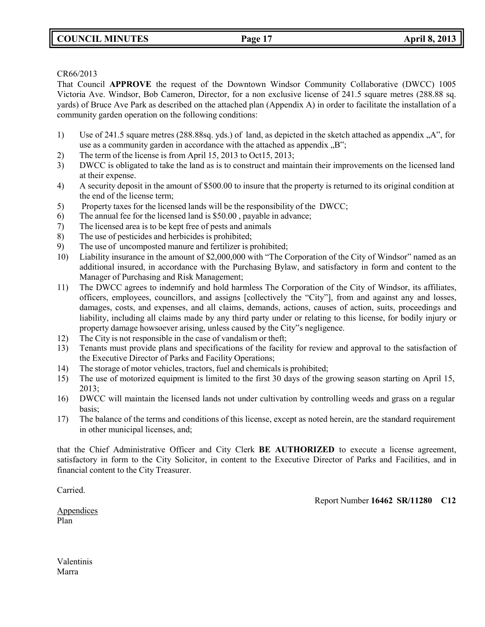# **COUNCIL MINUTES Page 17 April 8, 2013**

### CR66/2013

That Council **APPROVE** the request of the Downtown Windsor Community Collaborative (DWCC) 1005 Victoria Ave. Windsor, Bob Cameron, Director, for a non exclusive license of 241.5 square metres (288.88 sq. yards) of Bruce Ave Park as described on the attached plan (Appendix A) in order to facilitate the installation of a community garden operation on the following conditions:

- 1) Use of 241.5 square metres (288.88sq. yds.) of land, as depicted in the sketch attached as appendix "A", for use as a community garden in accordance with the attached as appendix  $, B$ ";
- 2) The term of the license is from April 15, 2013 to Oct15, 2013;
- 3) DWCC is obligated to take the land as is to construct and maintain their improvements on the licensed land at their expense.
- 4) A security deposit in the amount of \$500.00 to insure that the property is returned to its original condition at the end of the license term;
- 5) Property taxes for the licensed lands will be the responsibility of the DWCC;
- 6) The annual fee for the licensed land is \$50.00 , payable in advance;
- 7) The licensed area is to be kept free of pests and animals
- 8) The use of pesticides and herbicides is prohibited;
- 9) The use of uncomposted manure and fertilizer is prohibited;
- 10) Liability insurance in the amount of \$2,000,000 with "The Corporation of the City of Windsor" named as an additional insured, in accordance with the Purchasing Bylaw, and satisfactory in form and content to the Manager of Purchasing and Risk Management;
- 11) The DWCC agrees to indemnify and hold harmless The Corporation of the City of Windsor, its affiliates, officers, employees, councillors, and assigns [collectively the "City"], from and against any and losses, damages, costs, and expenses, and all claims, demands, actions, causes of action, suits, proceedings and liability, including all claims made by any third party under or relating to this license, for bodily injury or property damage howsoever arising, unless caused by the City"s negligence.
- 12) The City is not responsible in the case of vandalism or theft;
- 13) Tenants must provide plans and specifications of the facility for review and approval to the satisfaction of the Executive Director of Parks and Facility Operations;
- 14) The storage of motor vehicles, tractors, fuel and chemicals is prohibited;
- 15) The use of motorized equipment is limited to the first 30 days of the growing season starting on April 15, 2013;
- 16) DWCC will maintain the licensed lands not under cultivation by controlling weeds and grass on a regular basis;
- 17) The balance of the terms and conditions of this license, except as noted herein, are the standard requirement in other municipal licenses, and;

that the Chief Administrative Officer and City Clerk **BE AUTHORIZED** to execute a license agreement, satisfactory in form to the City Solicitor, in content to the Executive Director of Parks and Facilities, and in financial content to the City Treasurer.

Carried.

Report Number **16462 SR/11280 C12**

Appendices Plan

Valentinis Marra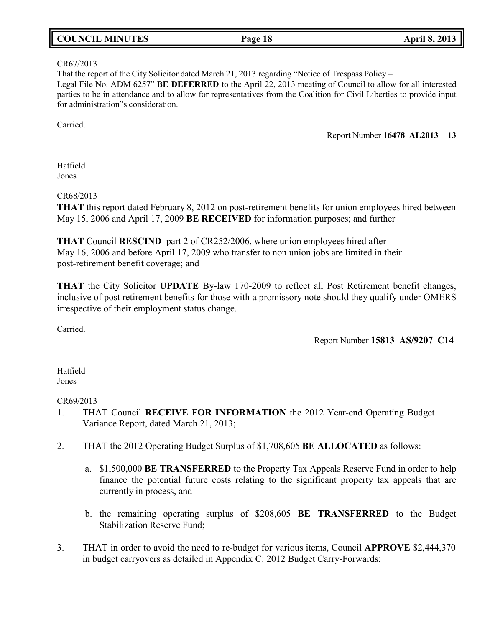# **COUNCIL MINUTES Page 18 April 8, 2013**

### CR67/2013

That the report of the City Solicitor dated March 21, 2013 regarding "Notice of Trespass Policy – Legal File No. ADM 6257" **BE DEFERRED** to the April 22, 2013 meeting of Council to allow for all interested parties to be in attendance and to allow for representatives from the Coalition for Civil Liberties to provide input for administration"s consideration.

Carried.

Report Number **16478 AL2013 13**

Hatfield Jones

CR68/2013

**THAT** this report dated February 8, 2012 on post-retirement benefits for union employees hired between May 15, 2006 and April 17, 2009 **BE RECEIVED** for information purposes; and further

**THAT** Council **RESCIND** part 2 of CR252/2006, where union employees hired after May 16, 2006 and before April 17, 2009 who transfer to non union jobs are limited in their post-retirement benefit coverage; and

**THAT** the City Solicitor **UPDATE** By-law 170-2009 to reflect all Post Retirement benefit changes, inclusive of post retirement benefits for those with a promissory note should they qualify under OMERS irrespective of their employment status change.

Carried.

Report Number **15813 AS/9207 C14**

Hatfield Jones

## CR69/2013

- 1. THAT Council **RECEIVE FOR INFORMATION** the 2012 Year-end Operating Budget Variance Report, dated March 21, 2013;
- 2. THAT the 2012 Operating Budget Surplus of \$1,708,605 **BE ALLOCATED** as follows:
	- a. \$1,500,000 **BE TRANSFERRED** to the Property Tax Appeals Reserve Fund in order to help finance the potential future costs relating to the significant property tax appeals that are currently in process, and
	- b. the remaining operating surplus of \$208,605 **BE TRANSFERRED** to the Budget Stabilization Reserve Fund;
- 3. THAT in order to avoid the need to re-budget for various items, Council **APPROVE** \$2,444,370 in budget carryovers as detailed in Appendix C: 2012 Budget Carry-Forwards;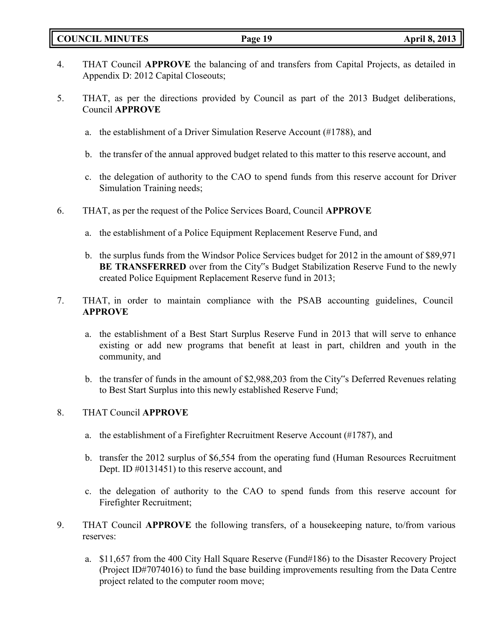# **COUNCIL MINUTES Page 19 April 8, 2013**

- 4. THAT Council **APPROVE** the balancing of and transfers from Capital Projects, as detailed in Appendix D: 2012 Capital Closeouts;
- 5. THAT, as per the directions provided by Council as part of the 2013 Budget deliberations, Council **APPROVE**
	- a. the establishment of a Driver Simulation Reserve Account (#1788), and
	- b. the transfer of the annual approved budget related to this matter to this reserve account, and
	- c. the delegation of authority to the CAO to spend funds from this reserve account for Driver Simulation Training needs;
- 6. THAT, as per the request of the Police Services Board, Council **APPROVE**
	- a. the establishment of a Police Equipment Replacement Reserve Fund, and
	- b. the surplus funds from the Windsor Police Services budget for 2012 in the amount of \$89,971 **BE TRANSFERRED** over from the City"s Budget Stabilization Reserve Fund to the newly created Police Equipment Replacement Reserve fund in 2013;
- 7. THAT, in order to maintain compliance with the PSAB accounting guidelines, Council **APPROVE**
	- a. the establishment of a Best Start Surplus Reserve Fund in 2013 that will serve to enhance existing or add new programs that benefit at least in part, children and youth in the community, and
	- b. the transfer of funds in the amount of \$2,988,203 from the City"s Deferred Revenues relating to Best Start Surplus into this newly established Reserve Fund;

# 8. THAT Council **APPROVE**

- a. the establishment of a Firefighter Recruitment Reserve Account (#1787), and
- b. transfer the 2012 surplus of \$6,554 from the operating fund (Human Resources Recruitment Dept. ID #0131451) to this reserve account, and
- c. the delegation of authority to the CAO to spend funds from this reserve account for Firefighter Recruitment;
- 9. THAT Council **APPROVE** the following transfers, of a housekeeping nature, to/from various reserves:
	- a. \$11,657 from the 400 City Hall Square Reserve (Fund#186) to the Disaster Recovery Project (Project ID#7074016) to fund the base building improvements resulting from the Data Centre project related to the computer room move;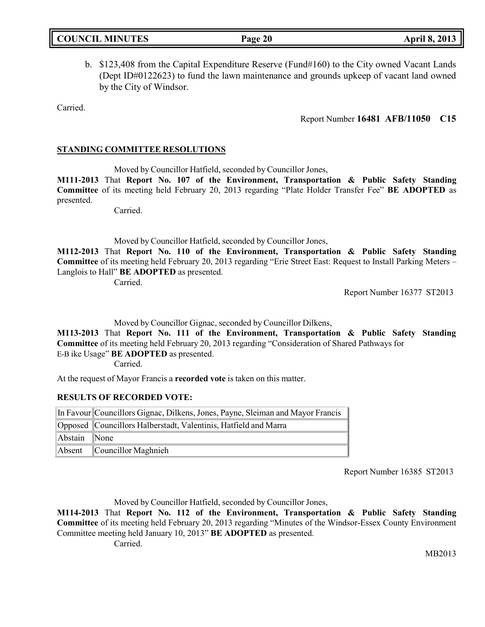|  | <b>COUNCIL MINUTES</b> |
|--|------------------------|
|--|------------------------|

b. \$123,408 from the Capital Expenditure Reserve (Fund#160) to the City owned Vacant Lands (Dept ID#0122623) to fund the lawn maintenance and grounds upkeep of vacant land owned by the City of Windsor.

Carried.

Report Number **16481 AFB/11050 C15**

# **STANDING COMMITTEE RESOLUTIONS**

Moved by Councillor Hatfield, seconded by Councillor Jones,

**M111-2013** That **Report No. 107 of the Environment, Transportation & Public Safety Standing Committee** of its meeting held February 20, 2013 regarding "Plate Holder Transfer Fee" **BE ADOPTED** as presented.

Carried.

Moved by Councillor Hatfield, seconded by Councillor Jones,

**M112-2013** That **Report No. 110 of the Environment, Transportation & Public Safety Standing Committee** of its meeting held February 20, 2013 regarding "Erie Street East: Request to Install Parking Meters – Langlois to Hall" **BE ADOPTED** as presented.

Carried.

Report Number 16377 ST2013

Moved by Councillor Gignac, seconded by Councillor Dilkens,

**M113-2013** That **Report No. 111 of the Environment, Transportation & Public Safety Standing Committee** of its meeting held February 20, 2013 regarding "Consideration of Shared Pathways for E-B ike Usage" **BE ADOPTED** as presented.

Carried.

At the request of Mayor Francis a **recorded vote** is taken on this matter.

## **RESULTS OF RECORDED VOTE:**

|              | In Favour Councillors Gignac, Dilkens, Jones, Payne, Sleiman and Mayor Francis |
|--------------|--------------------------------------------------------------------------------|
|              | Opposed Councillors Halberstadt, Valentinis, Hatfield and Marra                |
| Abstain None |                                                                                |
| Absent       | $\mathbb C$ ouncillor Maghnieh                                                 |

Report Number 16385 ST2013

Moved by Councillor Hatfield, seconded by Councillor Jones,

**M114-2013** That **Report No. 112 of the Environment, Transportation & Public Safety Standing Committee** of its meeting held February 20, 2013 regarding "Minutes of the Windsor-Essex County Environment Committee meeting held January 10, 2013" **BE ADOPTED** as presented.

Carried.

MB2013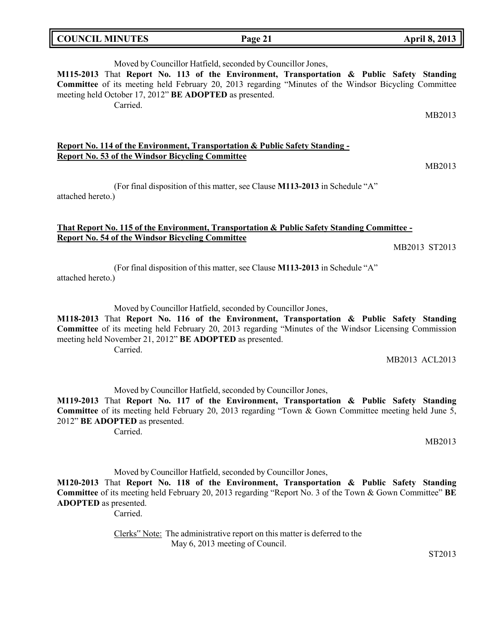| <b>COUNCIL MINUTES</b> |  |
|------------------------|--|
|------------------------|--|

# Moved by Councillor Hatfield, seconded by Councillor Jones,

**M115-2013** That **Report No. 113 of the Environment, Transportation & Public Safety Standing Committee** of its meeting held February 20, 2013 regarding "Minutes of the Windsor Bicycling Committee meeting held October 17, 2012" **BE ADOPTED** as presented.

Carried.

## **Report No. 114 of the Environment, Transportation & Public Safety Standing - Report No. 53 of the Windsor Bicycling Committee**

(For final disposition of this matter, see Clause **M113-2013** in Schedule "A" attached hereto.)

### **That Report No. 115 of the Environment, Transportation & Public Safety Standing Committee - Report No. 54 of the Windsor Bicycling Committee**

MB2013 ST2013

(For final disposition of this matter, see Clause **M113-2013** in Schedule "A" attached hereto.)

Moved by Councillor Hatfield, seconded by Councillor Jones,

**M118-2013** That **Report No. 116 of the Environment, Transportation & Public Safety Standing Committee** of its meeting held February 20, 2013 regarding "Minutes of the Windsor Licensing Commission meeting held November 21, 2012" **BE ADOPTED** as presented. Carried.

MB2013 ACL2013

Moved by Councillor Hatfield, seconded by Councillor Jones,

**M119-2013** That **Report No. 117 of the Environment, Transportation & Public Safety Standing Committee** of its meeting held February 20, 2013 regarding "Town & Gown Committee meeting held June 5, 2012" **BE ADOPTED** as presented.

Carried.

MB2013

Moved by Councillor Hatfield, seconded by Councillor Jones,

**M120-2013** That **Report No. 118 of the Environment, Transportation & Public Safety Standing Committee** of its meeting held February 20, 2013 regarding "Report No. 3 of the Town & Gown Committee" **BE ADOPTED** as presented.

Carried.

Clerks" Note: The administrative report on this matter is deferred to the May 6, 2013 meeting of Council.

ST2013

MB2013

MB2013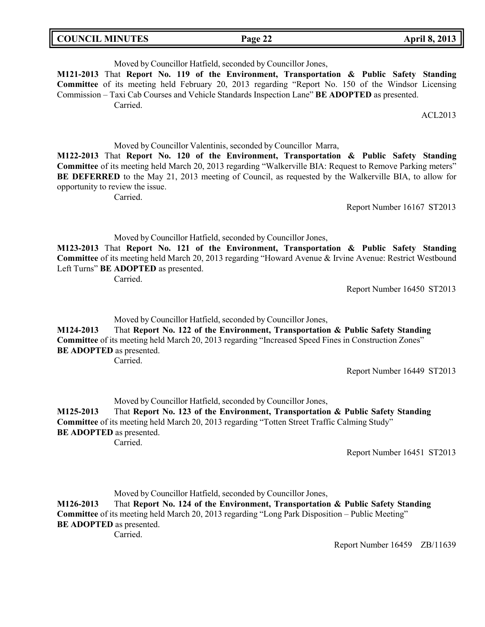| <b>COUNCIL MINUTES</b> | Page 22 | <b>April 8, 2013</b> |
|------------------------|---------|----------------------|
|------------------------|---------|----------------------|

Moved by Councillor Hatfield, seconded by Councillor Jones,

**M121-2013** That **Report No. 119 of the Environment, Transportation & Public Safety Standing Committee** of its meeting held February 20, 2013 regarding "Report No. 150 of the Windsor Licensing Commission – Taxi Cab Courses and Vehicle Standards Inspection Lane" **BE ADOPTED** as presented. Carried.

ACL2013

Moved by Councillor Valentinis, seconded by Councillor Marra,

**M122-2013** That **Report No. 120 of the Environment, Transportation & Public Safety Standing Committee** of its meeting held March 20, 2013 regarding "Walkerville BIA: Request to Remove Parking meters" **BE DEFERRED** to the May 21, 2013 meeting of Council, as requested by the Walkerville BIA, to allow for opportunity to review the issue.

Carried.

Report Number 16167 ST2013

Moved by Councillor Hatfield, seconded by Councillor Jones,

**M123-2013** That **Report No. 121 of the Environment, Transportation & Public Safety Standing Committee** of its meeting held March 20, 2013 regarding "Howard Avenue & Irvine Avenue: Restrict Westbound Left Turns" **BE ADOPTED** as presented.

Carried.

Report Number 16450 ST2013

Moved by Councillor Hatfield, seconded by Councillor Jones,

**M124-2013** That **Report No. 122 of the Environment, Transportation & Public Safety Standing Committee** of its meeting held March 20, 2013 regarding "Increased Speed Fines in Construction Zones" **BE ADOPTED** as presented. Carried.

Report Number 16449 ST2013

Moved by Councillor Hatfield, seconded by Councillor Jones,

**M125-2013** That **Report No. 123 of the Environment, Transportation & Public Safety Standing Committee** of its meeting held March 20, 2013 regarding "Totten Street Traffic Calming Study" **BE ADOPTED** as presented.

Carried.

Report Number 16451 ST2013

Moved by Councillor Hatfield, seconded by Councillor Jones,

**M126-2013** That **Report No. 124 of the Environment, Transportation & Public Safety Standing Committee** of its meeting held March 20, 2013 regarding "Long Park Disposition – Public Meeting" **BE ADOPTED** as presented.

Carried.

Report Number 16459 ZB/11639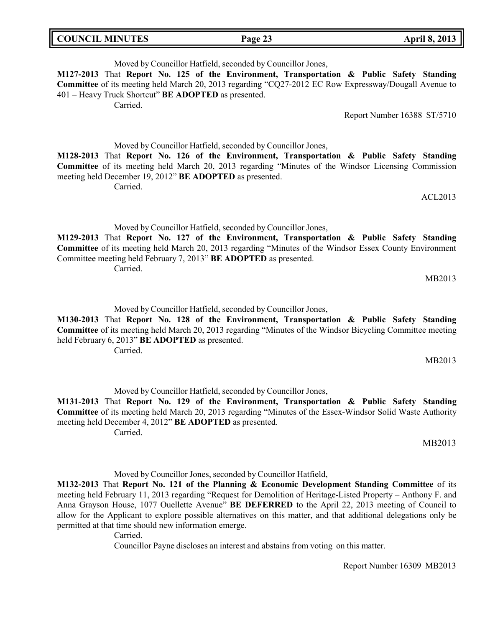| <b>COUNCIL MINUTES</b> | $\mathbf{1}$<br>∸<br>$-$ age $\prime$ | 2013<br><b>DATALL</b> |
|------------------------|---------------------------------------|-----------------------|
|                        |                                       |                       |

Moved by Councillor Hatfield, seconded by Councillor Jones, **M127-2013** That **Report No. 125 of the Environment, Transportation & Public Safety Standing Committee** of its meeting held March 20, 2013 regarding "CQ27-2012 EC Row Expressway/Dougall Avenue to 401 – Heavy Truck Shortcut" **BE ADOPTED** as presented. Carried.

Report Number 16388 ST/5710

Moved by Councillor Hatfield, seconded by Councillor Jones,

**M128-2013** That **Report No. 126 of the Environment, Transportation & Public Safety Standing Committee** of its meeting held March 20, 2013 regarding "Minutes of the Windsor Licensing Commission meeting held December 19, 2012" **BE ADOPTED** as presented.

Carried.

Moved by Councillor Hatfield, seconded by Councillor Jones,

**M129-2013** That **Report No. 127 of the Environment, Transportation & Public Safety Standing Committee** of its meeting held March 20, 2013 regarding "Minutes of the Windsor Essex County Environment Committee meeting held February 7, 2013" **BE ADOPTED** as presented.

Carried.

Moved by Councillor Hatfield, seconded by Councillor Jones,

**M130-2013** That **Report No. 128 of the Environment, Transportation & Public Safety Standing Committee** of its meeting held March 20, 2013 regarding "Minutes of the Windsor Bicycling Committee meeting held February 6, 2013" **BE ADOPTED** as presented.

Carried.

Moved by Councillor Hatfield, seconded by Councillor Jones, **M131-2013** That **Report No. 129 of the Environment, Transportation & Public Safety Standing Committee** of its meeting held March 20, 2013 regarding "Minutes of the Essex-Windsor Solid Waste Authority meeting held December 4, 2012" **BE ADOPTED** as presented. Carried.

Moved by Councillor Jones, seconded by Councillor Hatfield,

**M132-2013** That **Report No. 121 of the Planning & Economic Development Standing Committee** of its meeting held February 11, 2013 regarding "Request for Demolition of Heritage-Listed Property – Anthony F. and Anna Grayson House, 1077 Ouellette Avenue" **BE DEFERRED** to the April 22, 2013 meeting of Council to allow for the Applicant to explore possible alternatives on this matter, and that additional delegations only be permitted at that time should new information emerge.

Carried.

Councillor Payne discloses an interest and abstains from voting on this matter.

Report Number 16309 MB2013

MB2013

ACL2013

MB2013

MB2013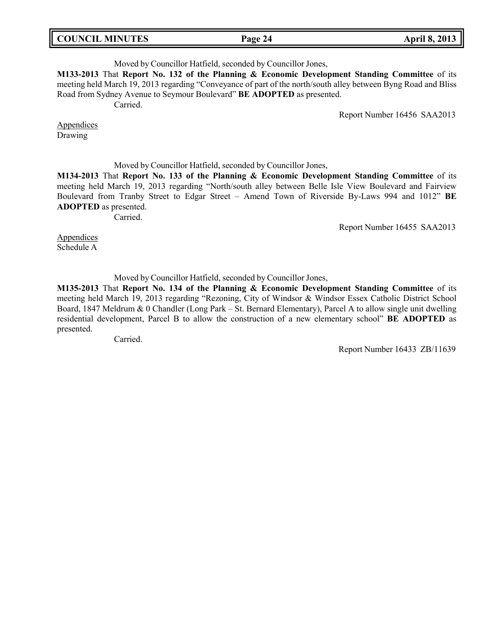| <b>COUNCIL MINUTES</b> |  |  |
|------------------------|--|--|
|------------------------|--|--|

# Moved by Councillor Hatfield, seconded by Councillor Jones,

**M133-2013** That **Report No. 132 of the Planning & Economic Development Standing Committee** of its meeting held March 19, 2013 regarding "Conveyance of part of the north/south alley between Byng Road and Bliss Road from Sydney Avenue to Seymour Boulevard" **BE ADOPTED** as presented. Carried.

Report Number 16456 SAA2013

**Appendices** Drawing

Moved by Councillor Hatfield, seconded by Councillor Jones,

**M134-2013** That **Report No. 133 of the Planning & Economic Development Standing Committee** of its meeting held March 19, 2013 regarding "North/south alley between Belle Isle View Boulevard and Fairview Boulevard from Tranby Street to Edgar Street – Amend Town of Riverside By-Laws 994 and 1012" **BE ADOPTED** as presented.

Carried.

Report Number 16455 SAA2013

**Appendices** Schedule A

Moved by Councillor Hatfield, seconded by Councillor Jones,

**M135-2013** That **Report No. 134 of the Planning & Economic Development Standing Committee** of its meeting held March 19, 2013 regarding "Rezoning, City of Windsor & Windsor Essex Catholic District School Board, 1847 Meldrum & 0 Chandler (Long Park – St. Bernard Elementary), Parcel A to allow single unit dwelling residential development, Parcel B to allow the construction of a new elementary school" **BE ADOPTED** as presented.

Carried.

Report Number 16433 ZB/11639

**COUNCIL MINUTES Page 24 April 8, 2013**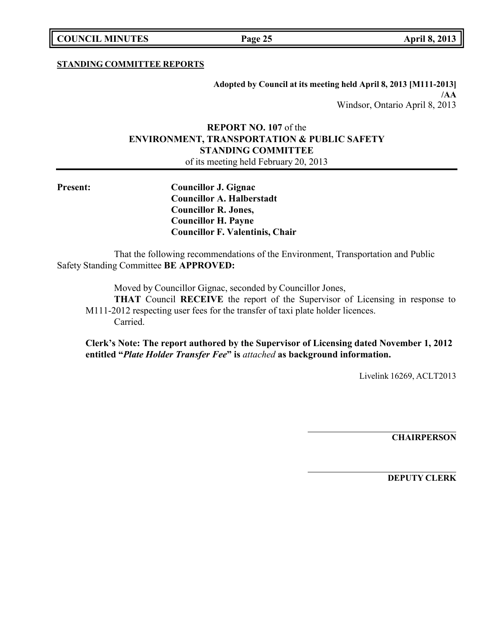**COUNCIL MINUTES Page 25 April 8, 2013**

## **STANDING COMMITTEE REPORTS**

**Adopted by Council at its meeting held April 8, 2013 [M111-2013] /AA** Windsor, Ontario April 8, 2013

# **REPORT NO. 107** of the **ENVIRONMENT, TRANSPORTATION & PUBLIC SAFETY STANDING COMMITTEE** of its meeting held February 20, 2013

**Present: Councillor J. Gignac Councillor A. Halberstadt Councillor R. Jones, Councillor H. Payne Councillor F. Valentinis, Chair**

That the following recommendations of the Environment, Transportation and Public Safety Standing Committee **BE APPROVED:**

Moved by Councillor Gignac, seconded by Councillor Jones,

**THAT** Council **RECEIVE** the report of the Supervisor of Licensing in response to M111-2012 respecting user fees for the transfer of taxi plate holder licences. Carried.

**Clerk's Note: The report authored by the Supervisor of Licensing dated November 1, 2012 entitled "***Plate Holder Transfer Fee***" is** *attached* **as background information.**

Livelink 16269, ACLT2013

**CHAIRPERSON**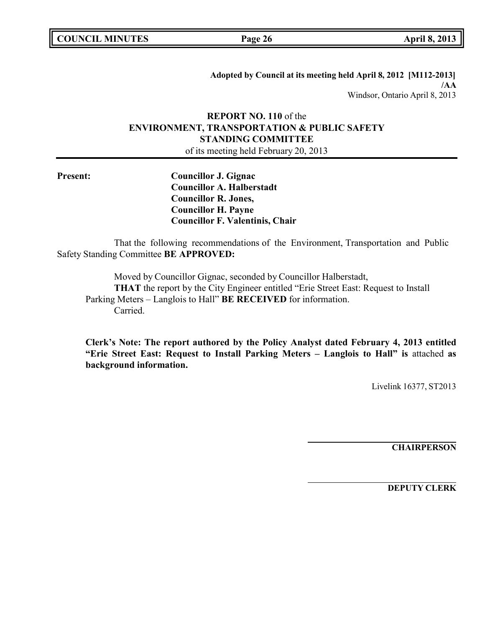|  | <b>COUNCIL MINUTES</b> |
|--|------------------------|
|--|------------------------|

**COUNCIL MINUTES Page 26 April 8, 2013**

**Adopted by Council at its meeting held April 8, 2012 [M112-2013] /AA** Windsor, Ontario April 8, 2013

# **REPORT NO. 110** of the **ENVIRONMENT, TRANSPORTATION & PUBLIC SAFETY STANDING COMMITTEE**

of its meeting held February 20, 2013

**Present: Councillor J. Gignac Councillor A. Halberstadt Councillor R. Jones, Councillor H. Payne Councillor F. Valentinis, Chair**

That the following recommendations of the Environment, Transportation and Public Safety Standing Committee **BE APPROVED:**

Moved by Councillor Gignac, seconded by Councillor Halberstadt, **THAT** the report by the City Engineer entitled "Erie Street East: Request to Install Parking Meters – Langlois to Hall" **BE RECEIVED** for information. Carried.

**Clerk's Note: The report authored by the Policy Analyst dated February 4, 2013 entitled "Erie Street East: Request to Install Parking Meters – Langlois to Hall" is** attached **as background information.**

Livelink 16377, ST2013

**CHAIRPERSON**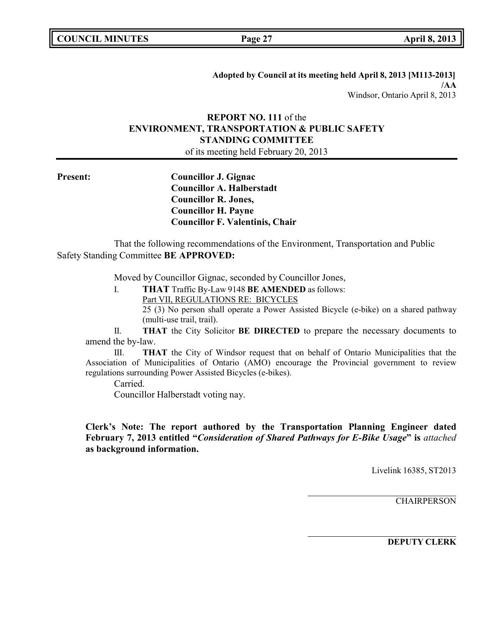**Adopted by Council at its meeting held April 8, 2013 [M113-2013] /AA** Windsor, Ontario April 8, 2013

# **REPORT NO. 111** of the **ENVIRONMENT, TRANSPORTATION & PUBLIC SAFETY STANDING COMMITTEE**

of its meeting held February 20, 2013

**Present: Councillor J. Gignac Councillor A. Halberstadt Councillor R. Jones, Councillor H. Payne Councillor F. Valentinis, Chair**

That the following recommendations of the Environment, Transportation and Public Safety Standing Committee **BE APPROVED:**

Moved by Councillor Gignac, seconded by Councillor Jones,

I. **THAT** Traffic By-Law 9148 **BE AMENDED** as follows: Part VII, REGULATIONS RE: BICYCLES 25 (3) No person shall operate a Power Assisted Bicycle (e-bike) on a shared pathway (multi-use trail, trail).

II. **THAT** the City Solicitor **BE DIRECTED** to prepare the necessary documents to amend the by-law.

III. **THAT** the City of Windsor request that on behalf of Ontario Municipalities that the Association of Municipalities of Ontario (AMO) encourage the Provincial government to review regulations surrounding Power Assisted Bicycles (e-bikes).

Carried.

Councillor Halberstadt voting nay.

**Clerk's Note: The report authored by the Transportation Planning Engineer dated February 7, 2013 entitled "***Consideration of Shared Pathways for E-Bike Usage***" is** *attached* **as background information.**

Livelink 16385, ST2013

**CHAIRPERSON**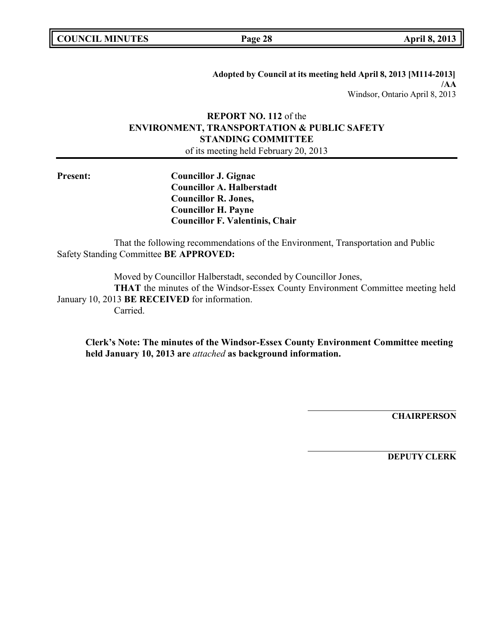| <b>COUNCIL MINUTES</b> |  |  |
|------------------------|--|--|
|------------------------|--|--|

**COUNCIL MINUTES Page 28 April 8, 2013**

**Adopted by Council at its meeting held April 8, 2013 [M114-2013] /AA** Windsor, Ontario April 8, 2013

# **REPORT NO. 112** of the **ENVIRONMENT, TRANSPORTATION & PUBLIC SAFETY STANDING COMMITTEE**

of its meeting held February 20, 2013

**Present: Councillor J. Gignac Councillor A. Halberstadt Councillor R. Jones, Councillor H. Payne Councillor F. Valentinis, Chair**

That the following recommendations of the Environment, Transportation and Public Safety Standing Committee **BE APPROVED:**

Moved by Councillor Halberstadt, seconded by Councillor Jones, **THAT** the minutes of the Windsor-Essex County Environment Committee meeting held January 10, 2013 **BE RECEIVED** for information. Carried.

**Clerk's Note: The minutes of the Windsor-Essex County Environment Committee meeting held January 10, 2013 are** *attached* **as background information.**

**CHAIRPERSON**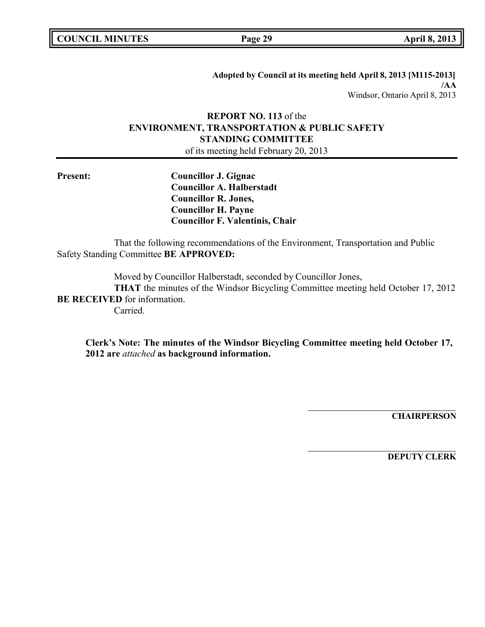|  | <b>COUNCIL MINUTES</b> |
|--|------------------------|
|--|------------------------|

**COUNCIL MINUTES Page 29 April 8, 2013**

**Adopted by Council at its meeting held April 8, 2013 [M115-2013] /AA** Windsor, Ontario April 8, 2013

# **REPORT NO. 113** of the **ENVIRONMENT, TRANSPORTATION & PUBLIC SAFETY STANDING COMMITTEE** of its meeting held February 20, 2013

**Present: Councillor J. Gignac Councillor A. Halberstadt Councillor R. Jones, Councillor H. Payne Councillor F. Valentinis, Chair**

That the following recommendations of the Environment, Transportation and Public Safety Standing Committee **BE APPROVED:**

Moved by Councillor Halberstadt, seconded by Councillor Jones, **THAT** the minutes of the Windsor Bicycling Committee meeting held October 17, 2012 **BE RECEIVED** for information. Carried.

**Clerk's Note: The minutes of the Windsor Bicycling Committee meeting held October 17, 2012 are** *attached* **as background information.**

**CHAIRPERSON**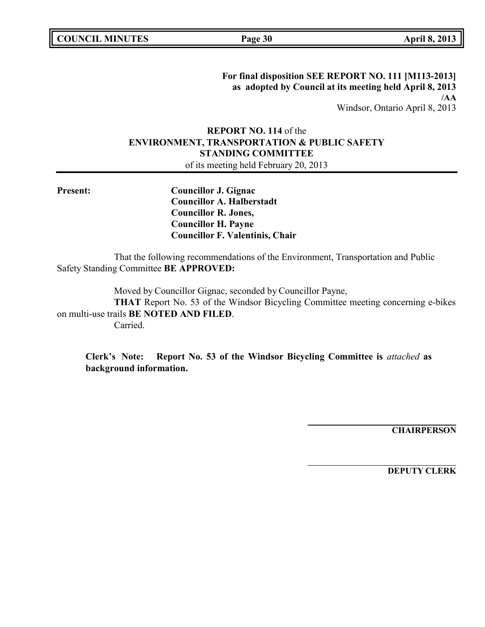**For final disposition SEE REPORT NO. 111 [M113-2013] as adopted by Council at its meeting held April 8, 2013 /AA** Windsor, Ontario April 8, 2013

# **REPORT NO. 114** of the **ENVIRONMENT, TRANSPORTATION & PUBLIC SAFETY STANDING COMMITTEE**

of its meeting held February 20, 2013

**Present: Councillor J. Gignac Councillor A. Halberstadt Councillor R. Jones, Councillor H. Payne Councillor F. Valentinis, Chair**

That the following recommendations of the Environment, Transportation and Public Safety Standing Committee **BE APPROVED:**

Moved by Councillor Gignac, seconded by Councillor Payne,

**THAT** Report No. 53 of the Windsor Bicycling Committee meeting concerning e-bikes on multi-use trails **BE NOTED AND FILED**.

Carried.

**Clerk's Note: Report No. 53 of the Windsor Bicycling Committee is** *attached* **as background information.**

**CHAIRPERSON**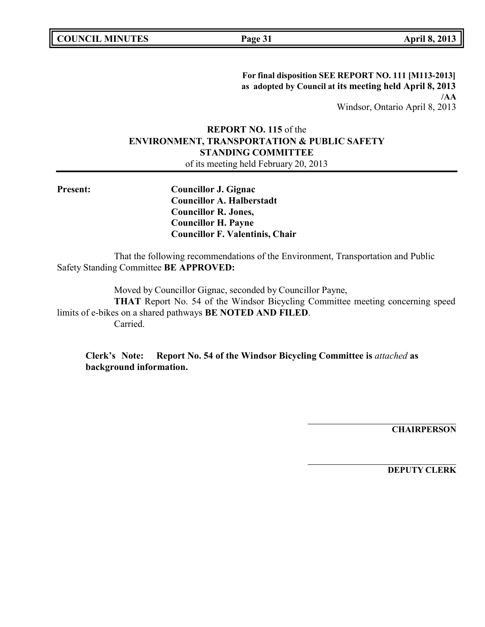**For final disposition SEE REPORT NO. 111 [M113-2013] as adopted by Council at its meeting held April 8, 2013 /AA** Windsor, Ontario April 8, 2013

# **REPORT NO. 115** of the **ENVIRONMENT, TRANSPORTATION & PUBLIC SAFETY STANDING COMMITTEE**

of its meeting held February 20, 2013

**Present: Councillor J. Gignac Councillor A. Halberstadt Councillor R. Jones, Councillor H. Payne Councillor F. Valentinis, Chair**

That the following recommendations of the Environment, Transportation and Public Safety Standing Committee **BE APPROVED:**

Moved by Councillor Gignac, seconded by Councillor Payne,

**THAT** Report No. 54 of the Windsor Bicycling Committee meeting concerning speed limits of e-bikes on a shared pathways **BE NOTED AND FILED**. Carried.

**Clerk's Note: Report No. 54 of the Windsor Bicycling Committee is** *attached* **as background information.**

**CHAIRPERSON**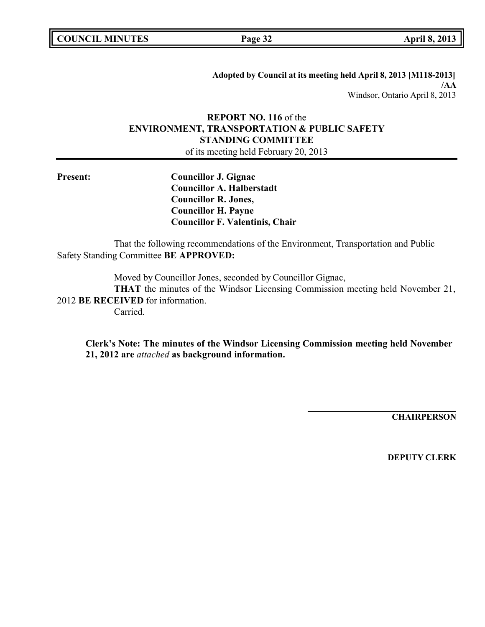|  | <b>COUNCIL MINUTES</b> |
|--|------------------------|
|--|------------------------|

**COUNCIL MINUTES Page 32 April 8, 2013**

**Adopted by Council at its meeting held April 8, 2013 [M118-2013] /AA** Windsor, Ontario April 8, 2013

# **REPORT NO. 116** of the **ENVIRONMENT, TRANSPORTATION & PUBLIC SAFETY STANDING COMMITTEE**

of its meeting held February 20, 2013

**Present: Councillor J. Gignac Councillor A. Halberstadt Councillor R. Jones, Councillor H. Payne Councillor F. Valentinis, Chair**

That the following recommendations of the Environment, Transportation and Public Safety Standing Committee **BE APPROVED:**

Moved by Councillor Jones, seconded by Councillor Gignac,

**THAT** the minutes of the Windsor Licensing Commission meeting held November 21, 2012 **BE RECEIVED** for information. Carried.

**Clerk's Note: The minutes of the Windsor Licensing Commission meeting held November 21, 2012 are** *attached* **as background information.**

**CHAIRPERSON**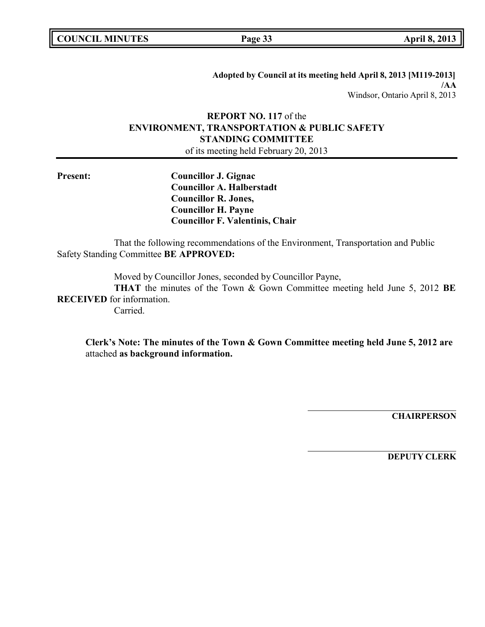| <b>COUNCIL MINUTES</b> |  |  |
|------------------------|--|--|
|------------------------|--|--|

**COUNCIL MINUTES Page 33 April 8, 2013**

**Adopted by Council at its meeting held April 8, 2013 [M119-2013] /AA** Windsor, Ontario April 8, 2013

# **REPORT NO. 117** of the **ENVIRONMENT, TRANSPORTATION & PUBLIC SAFETY STANDING COMMITTEE** of its meeting held February 20, 2013

**Present: Councillor J. Gignac Councillor A. Halberstadt Councillor R. Jones, Councillor H. Payne Councillor F. Valentinis, Chair**

That the following recommendations of the Environment, Transportation and Public Safety Standing Committee **BE APPROVED:**

Moved by Councillor Jones, seconded by Councillor Payne,

**THAT** the minutes of the Town & Gown Committee meeting held June 5, 2012 **BE RECEIVED** for information.

Carried.

**Clerk's Note: The minutes of the Town & Gown Committee meeting held June 5, 2012 are** attached **as background information.**

**CHAIRPERSON**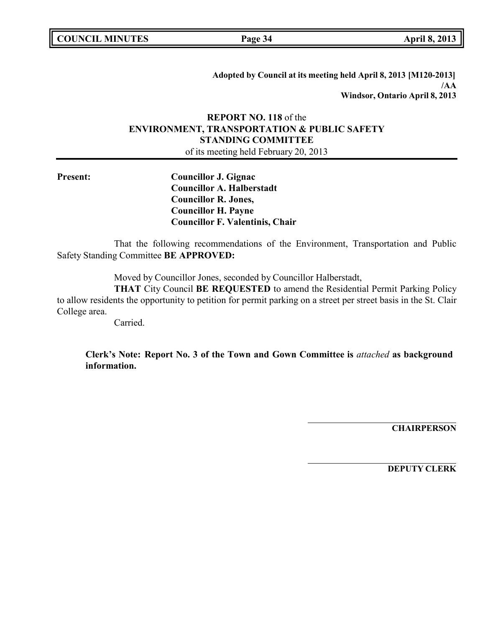|  | <b>COUNCIL MINUTES</b> |
|--|------------------------|
|--|------------------------|

**COUNCIL MINUTES Page 34 April 8, 2013**

**Adopted by Council at its meeting held April 8, 2013 [M120-2013] /AA Windsor, Ontario April 8, 2013**

# **REPORT NO. 118** of the **ENVIRONMENT, TRANSPORTATION & PUBLIC SAFETY STANDING COMMITTEE**

of its meeting held February 20, 2013

**Present: Councillor J. Gignac Councillor A. Halberstadt Councillor R. Jones, Councillor H. Payne Councillor F. Valentinis, Chair**

That the following recommendations of the Environment, Transportation and Public Safety Standing Committee **BE APPROVED:**

Moved by Councillor Jones, seconded by Councillor Halberstadt,

**THAT** City Council **BE REQUESTED** to amend the Residential Permit Parking Policy to allow residents the opportunity to petition for permit parking on a street per street basis in the St. Clair College area.

Carried.

**Clerk's Note: Report No. 3 of the Town and Gown Committee is** *attached* **as background information.**

**CHAIRPERSON**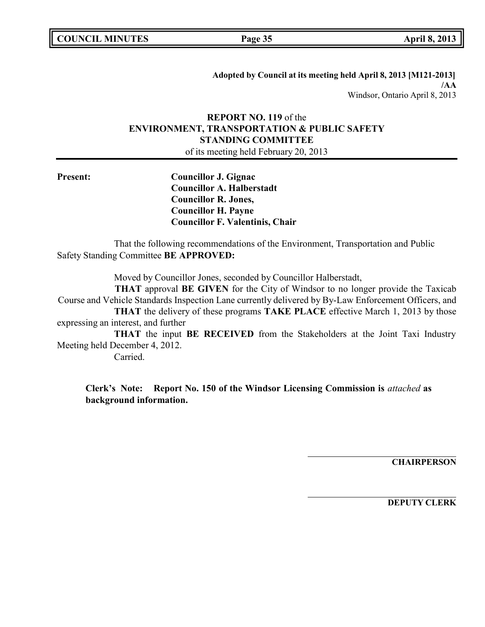|  | <b>COUNCIL MINUTES</b> |
|--|------------------------|
|--|------------------------|

**COUNCIL MINUTES Page 35 April 8, 2013**

**Adopted by Council at its meeting held April 8, 2013 [M121-2013] /AA** Windsor, Ontario April 8, 2013

# **REPORT NO. 119** of the **ENVIRONMENT, TRANSPORTATION & PUBLIC SAFETY STANDING COMMITTEE**

of its meeting held February 20, 2013

**Present: Councillor J. Gignac Councillor A. Halberstadt Councillor R. Jones, Councillor H. Payne Councillor F. Valentinis, Chair**

That the following recommendations of the Environment, Transportation and Public Safety Standing Committee **BE APPROVED:**

Moved by Councillor Jones, seconded by Councillor Halberstadt,

**THAT** approval **BE GIVEN** for the City of Windsor to no longer provide the Taxicab Course and Vehicle Standards Inspection Lane currently delivered by By-Law Enforcement Officers, and **THAT** the delivery of these programs **TAKE PLACE** effective March 1, 2013 by those expressing an interest, and further

**THAT** the input **BE RECEIVED** from the Stakeholders at the Joint Taxi Industry Meeting held December 4, 2012.

Carried.

**Clerk's Note: Report No. 150 of the Windsor Licensing Commission is** *attached* **as background information.**

**CHAIRPERSON**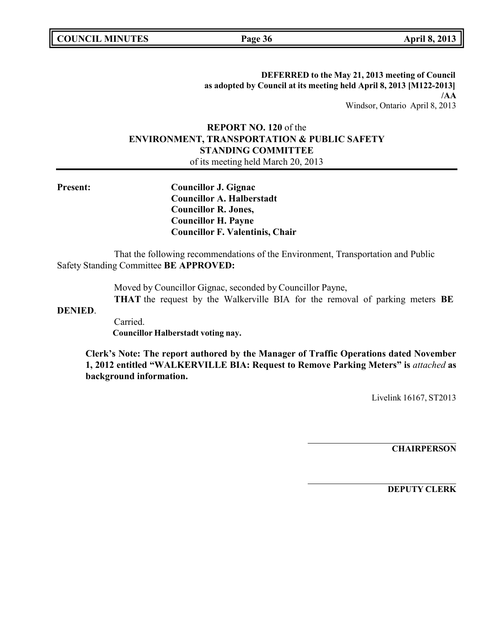**COUNCIL MINUTES Page 36 April 8, 2013**

**DEFERRED to the May 21, 2013 meeting of Council as adopted by Council at its meeting held April 8, 2013 [M122-2013] /AA** Windsor, Ontario April 8, 2013

# **REPORT NO. 120** of the **ENVIRONMENT, TRANSPORTATION & PUBLIC SAFETY STANDING COMMITTEE**

of its meeting held March 20, 2013

**Present: Councillor J. Gignac Councillor A. Halberstadt Councillor R. Jones, Councillor H. Payne Councillor F. Valentinis, Chair**

That the following recommendations of the Environment, Transportation and Public Safety Standing Committee **BE APPROVED:**

Moved by Councillor Gignac, seconded by Councillor Payne,

**THAT** the request by the Walkerville BIA for the removal of parking meters **BE**

**DENIED**.

Carried. **Councillor Halberstadt voting nay.**

**Clerk's Note: The report authored by the Manager of Traffic Operations dated November 1, 2012 entitled "WALKERVILLE BIA: Request to Remove Parking Meters" is** *attached* **as background information.**

Livelink 16167, ST2013

**CHAIRPERSON**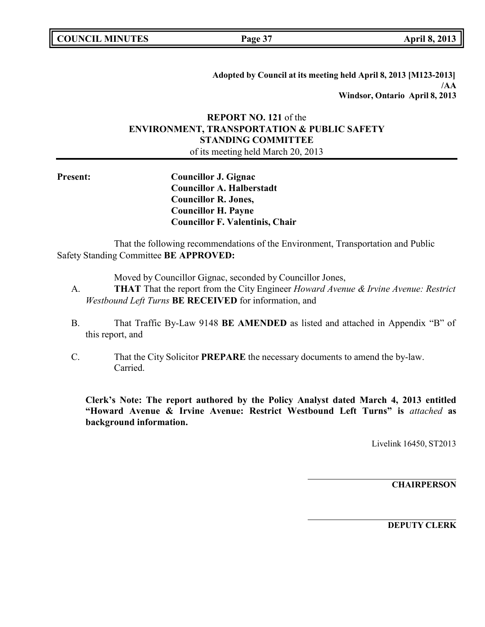|  | <b>COUNCIL MINUTES</b> |
|--|------------------------|
|--|------------------------|

**COUNCIL MINUTES Page 37 April 8, 2013**

**Adopted by Council at its meeting held April 8, 2013 [M123-2013] /AA Windsor, Ontario April 8, 2013**

# **REPORT NO. 121** of the **ENVIRONMENT, TRANSPORTATION & PUBLIC SAFETY STANDING COMMITTEE**

of its meeting held March 20, 2013

**Present: Councillor J. Gignac Councillor A. Halberstadt Councillor R. Jones, Councillor H. Payne Councillor F. Valentinis, Chair**

That the following recommendations of the Environment, Transportation and Public Safety Standing Committee **BE APPROVED:**

Moved by Councillor Gignac, seconded by Councillor Jones,

- A. **THAT** That the report from the City Engineer *Howard Avenue & Irvine Avenue: Restrict Westbound Left Turns* **BE RECEIVED** for information, and
- B. That Traffic By-Law 9148 **BE AMENDED** as listed and attached in Appendix "B" of this report, and
- C. That the City Solicitor **PREPARE** the necessary documents to amend the by-law. Carried.

**Clerk's Note: The report authored by the Policy Analyst dated March 4, 2013 entitled "Howard Avenue & Irvine Avenue: Restrict Westbound Left Turns" is** *attached* **as background information.**

Livelink 16450, ST2013

**CHAIRPERSON**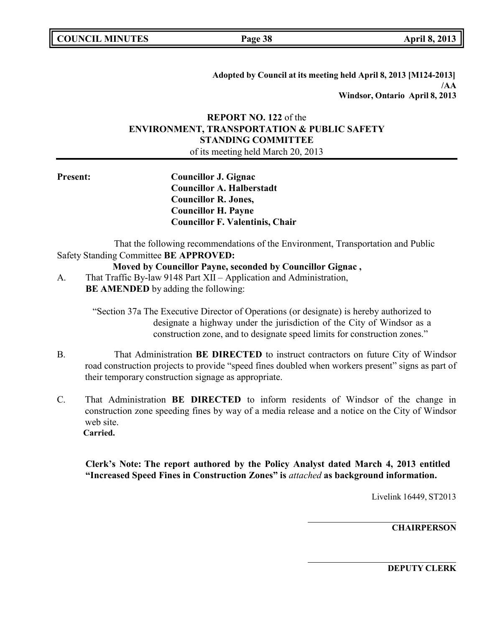**Adopted by Council at its meeting held April 8, 2013 [M124-2013] /AA Windsor, Ontario April 8, 2013**

# **REPORT NO. 122** of the **ENVIRONMENT, TRANSPORTATION & PUBLIC SAFETY STANDING COMMITTEE**

of its meeting held March 20, 2013

**Present: Councillor J. Gignac Councillor A. Halberstadt Councillor R. Jones, Councillor H. Payne Councillor F. Valentinis, Chair**

That the following recommendations of the Environment, Transportation and Public Safety Standing Committee **BE APPROVED:**

# **Moved by Councillor Payne, seconded by Councillor Gignac ,**

A. That Traffic By-law 9148 Part XII – Application and Administration, **BE AMENDED** by adding the following:

> "Section 37a The Executive Director of Operations (or designate) is hereby authorized to designate a highway under the jurisdiction of the City of Windsor as a construction zone, and to designate speed limits for construction zones."

- B. That Administration **BE DIRECTED** to instruct contractors on future City of Windsor road construction projects to provide "speed fines doubled when workers present" signs as part of their temporary construction signage as appropriate.
- C. That Administration **BE DIRECTED** to inform residents of Windsor of the change in construction zone speeding fines by way of a media release and a notice on the City of Windsor web site. **Carried.**

**Clerk's Note: The report authored by the Policy Analyst dated March 4, 2013 entitled "Increased Speed Fines in Construction Zones" is** *attached* **as background information.**

Livelink 16449, ST2013

**CHAIRPERSON**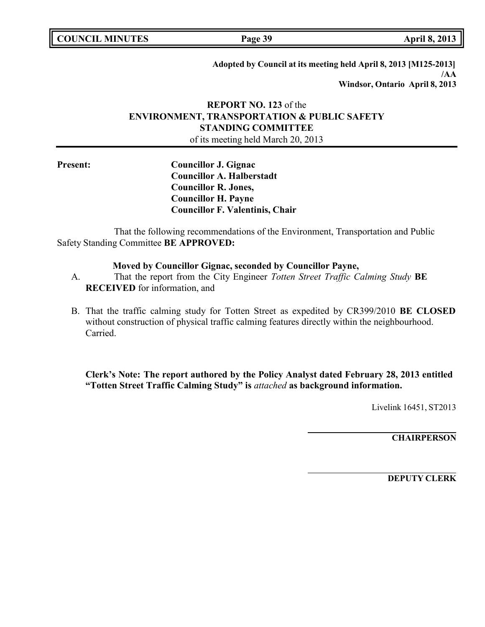**COUNCIL MINUTES Page 39 April 8, 2013**

**Adopted by Council at its meeting held April 8, 2013 [M125-2013] /AA Windsor, Ontario April 8, 2013**

# **REPORT NO. 123** of the **ENVIRONMENT, TRANSPORTATION & PUBLIC SAFETY STANDING COMMITTEE** of its meeting held March 20, 2013

**Present: Councillor J. Gignac Councillor A. Halberstadt Councillor R. Jones, Councillor H. Payne Councillor F. Valentinis, Chair**

That the following recommendations of the Environment, Transportation and Public Safety Standing Committee **BE APPROVED:**

# **Moved by Councillor Gignac, seconded by Councillor Payne,**

A. That the report from the City Engineer *Totten Street Traffic Calming Study* **BE RECEIVED** for information, and

B. That the traffic calming study for Totten Street as expedited by CR399/2010 **BE CLOSED** without construction of physical traffic calming features directly within the neighbourhood. Carried.

**Clerk's Note: The report authored by the Policy Analyst dated February 28, 2013 entitled "Totten Street Traffic Calming Study" is** *attached* **as background information.**

Livelink 16451, ST2013

**CHAIRPERSON**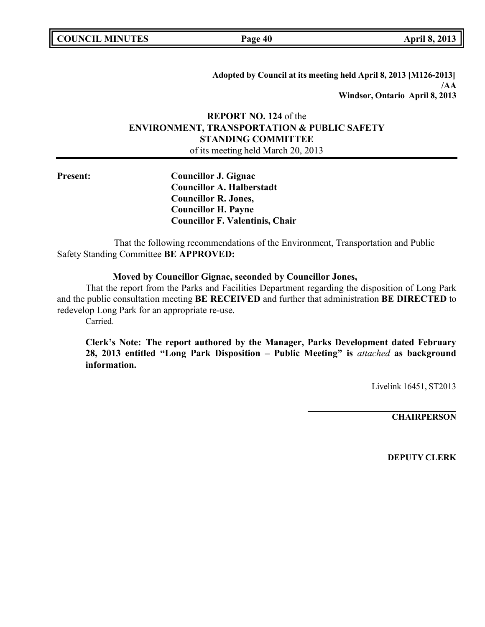| <b>COUNCIL MINUTES</b> |  |  |
|------------------------|--|--|
|------------------------|--|--|

**COUNCIL MINUTES Page 40 April 8, 2013**

**Adopted by Council at its meeting held April 8, 2013 [M126-2013] /AA Windsor, Ontario April 8, 2013**

# **REPORT NO. 124** of the **ENVIRONMENT, TRANSPORTATION & PUBLIC SAFETY STANDING COMMITTEE**

of its meeting held March 20, 2013

**Present: Councillor J. Gignac Councillor A. Halberstadt Councillor R. Jones, Councillor H. Payne Councillor F. Valentinis, Chair**

That the following recommendations of the Environment, Transportation and Public Safety Standing Committee **BE APPROVED:**

# **Moved by Councillor Gignac, seconded by Councillor Jones,**

That the report from the Parks and Facilities Department regarding the disposition of Long Park and the public consultation meeting **BE RECEIVED** and further that administration **BE DIRECTED** to redevelop Long Park for an appropriate re-use.

Carried.

**Clerk's Note: The report authored by the Manager, Parks Development dated February 28, 2013 entitled "Long Park Disposition – Public Meeting" is** *attached* **as background information.**

Livelink 16451, ST2013

**CHAIRPERSON**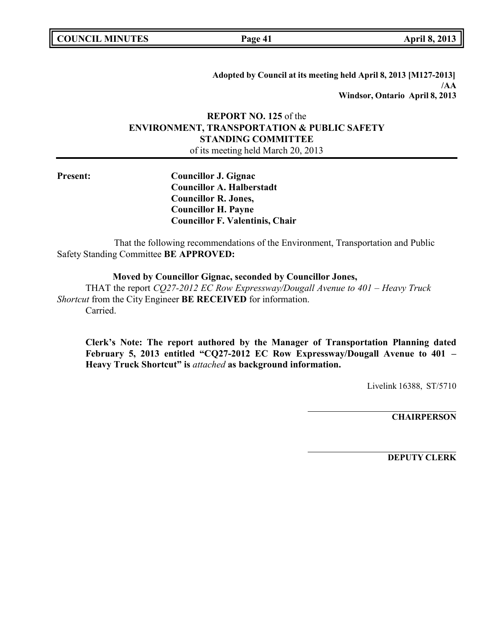|  | <b>COUNCIL MINUTES</b> |
|--|------------------------|
|--|------------------------|

**COUNCIL MINUTES Page 41 April 8, 2013**

**Adopted by Council at its meeting held April 8, 2013 [M127-2013] /AA Windsor, Ontario April 8, 2013**

# **REPORT NO. 125** of the **ENVIRONMENT, TRANSPORTATION & PUBLIC SAFETY STANDING COMMITTEE**

of its meeting held March 20, 2013

**Present: Councillor J. Gignac Councillor A. Halberstadt Councillor R. Jones, Councillor H. Payne Councillor F. Valentinis, Chair**

That the following recommendations of the Environment, Transportation and Public Safety Standing Committee **BE APPROVED:**

**Moved by Councillor Gignac, seconded by Councillor Jones,** THAT the report *CQ27-2012 EC Row Expressway/Dougall Avenue to 401 – Heavy Truck Shortcut* from the City Engineer **BE RECEIVED** for information. Carried.

**Clerk's Note: The report authored by the Manager of Transportation Planning dated February 5, 2013 entitled "CQ27-2012 EC Row Expressway/Dougall Avenue to 401 – Heavy Truck Shortcut" is** *attached* **as background information.**

Livelink 16388, ST/5710

**CHAIRPERSON**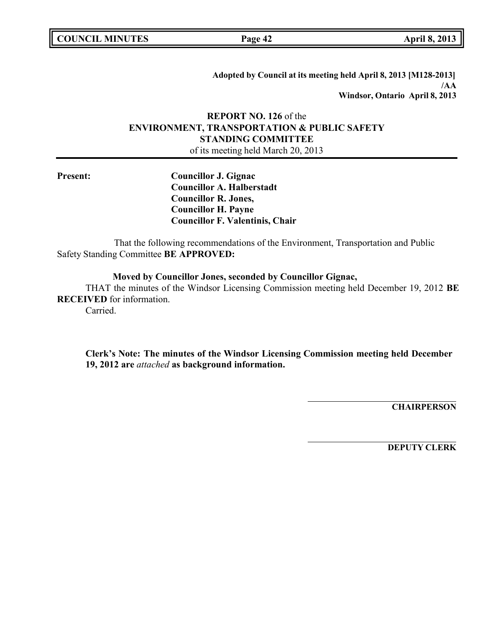|  | <b>COUNCIL MINUTES</b> |
|--|------------------------|
|--|------------------------|

**COUNCIL MINUTES Page 42 April 8, 2013**

**Adopted by Council at its meeting held April 8, 2013 [M128-2013] /AA Windsor, Ontario April 8, 2013**

# **REPORT NO. 126** of the **ENVIRONMENT, TRANSPORTATION & PUBLIC SAFETY STANDING COMMITTEE**

of its meeting held March 20, 2013

**Present: Councillor J. Gignac Councillor A. Halberstadt Councillor R. Jones, Councillor H. Payne Councillor F. Valentinis, Chair**

That the following recommendations of the Environment, Transportation and Public Safety Standing Committee **BE APPROVED:**

**Moved by Councillor Jones, seconded by Councillor Gignac,**

THAT the minutes of the Windsor Licensing Commission meeting held December 19, 2012 **BE RECEIVED** for information.

Carried.

**Clerk's Note: The minutes of the Windsor Licensing Commission meeting held December 19, 2012 are** *attached* **as background information.**

**CHAIRPERSON**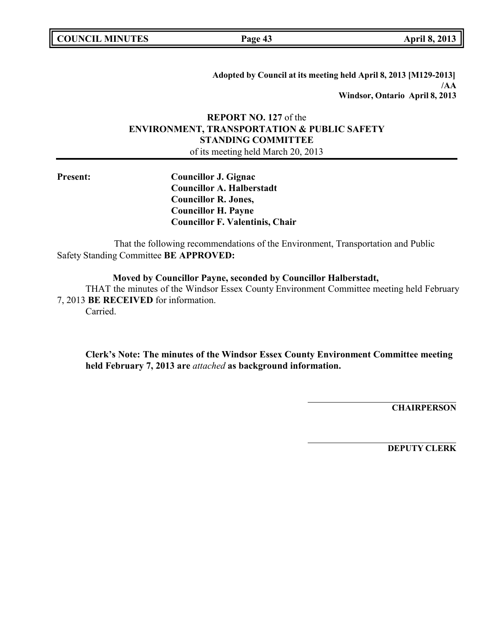|  | <b>COUNCIL MINUTES</b> |
|--|------------------------|
|--|------------------------|

**COUNCIL MINUTES Page 43 April 8, 2013**

**Adopted by Council at its meeting held April 8, 2013 [M129-2013] /AA Windsor, Ontario April 8, 2013**

# **REPORT NO. 127** of the **ENVIRONMENT, TRANSPORTATION & PUBLIC SAFETY STANDING COMMITTEE**

of its meeting held March 20, 2013

**Present: Councillor J. Gignac Councillor A. Halberstadt Councillor R. Jones, Councillor H. Payne Councillor F. Valentinis, Chair**

That the following recommendations of the Environment, Transportation and Public Safety Standing Committee **BE APPROVED:**

**Moved by Councillor Payne, seconded by Councillor Halberstadt,**

THAT the minutes of the Windsor Essex County Environment Committee meeting held February 7, 2013 **BE RECEIVED** for information.

Carried.

**Clerk's Note: The minutes of the Windsor Essex County Environment Committee meeting held February 7, 2013 are** *attached* **as background information.**

**CHAIRPERSON**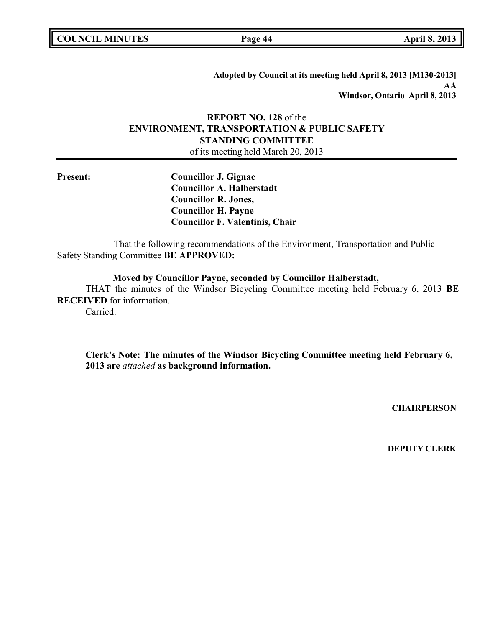|  | <b>COUNCIL MINUTES</b> |
|--|------------------------|
|--|------------------------|

**COUNCIL MINUTES Page 44 April 8, 2013**

**Adopted by Council at its meeting held April 8, 2013 [M130-2013] AA Windsor, Ontario April 8, 2013**

# **REPORT NO. 128** of the **ENVIRONMENT, TRANSPORTATION & PUBLIC SAFETY STANDING COMMITTEE**

of its meeting held March 20, 2013

**Present: Councillor J. Gignac Councillor A. Halberstadt Councillor R. Jones, Councillor H. Payne Councillor F. Valentinis, Chair**

That the following recommendations of the Environment, Transportation and Public Safety Standing Committee **BE APPROVED:**

**Moved by Councillor Payne, seconded by Councillor Halberstadt,**

THAT the minutes of the Windsor Bicycling Committee meeting held February 6, 2013 **BE RECEIVED** for information.

Carried.

**Clerk's Note: The minutes of the Windsor Bicycling Committee meeting held February 6, 2013 are** *attached* **as background information.**

**CHAIRPERSON**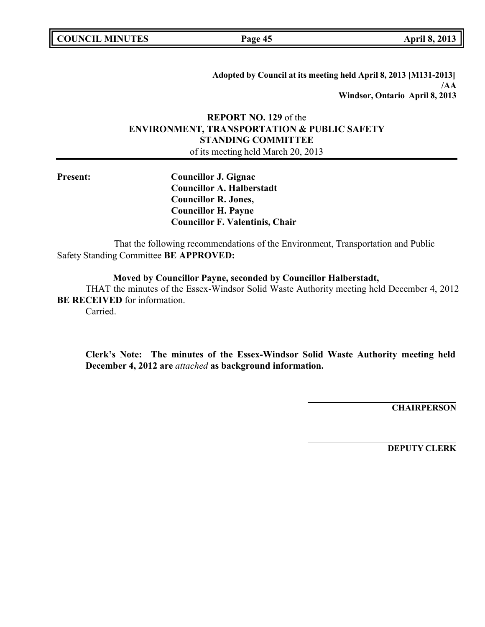|  | <b>COUNCIL MINUTES</b> |
|--|------------------------|
|--|------------------------|

**COUNCIL MINUTES Page 45 April 8, 2013**

**Adopted by Council at its meeting held April 8, 2013 [M131-2013] /AA Windsor, Ontario April 8, 2013**

# **REPORT NO. 129** of the **ENVIRONMENT, TRANSPORTATION & PUBLIC SAFETY STANDING COMMITTEE**

of its meeting held March 20, 2013

**Present: Councillor J. Gignac Councillor A. Halberstadt Councillor R. Jones, Councillor H. Payne Councillor F. Valentinis, Chair**

That the following recommendations of the Environment, Transportation and Public Safety Standing Committee **BE APPROVED:**

**Moved by Councillor Payne, seconded by Councillor Halberstadt,**

THAT the minutes of the Essex-Windsor Solid Waste Authority meeting held December 4, 2012 **BE RECEIVED** for information.

Carried.

**Clerk's Note: The minutes of the Essex-Windsor Solid Waste Authority meeting held December 4, 2012 are** *attached* **as background information.**

**CHAIRPERSON**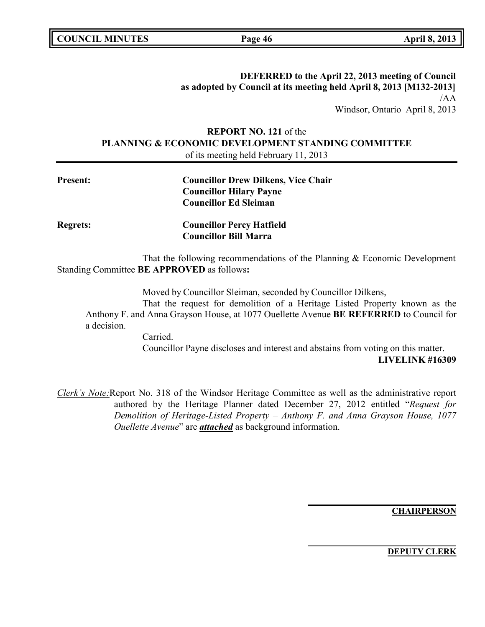**COUNCIL MINUTES Page 46 April 8, 2013**

**DEFERRED to the April 22, 2013 meeting of Council as adopted by Council at its meeting held April 8, 2013 [M132-2013]** /AA Windsor, Ontario April 8, 2013

# **REPORT NO. 121** of the **PLANNING & ECONOMIC DEVELOPMENT STANDING COMMITTEE** of its meeting held February 11, 2013

| <b>Present:</b> | <b>Councillor Drew Dilkens, Vice Chair</b>                                 |
|-----------------|----------------------------------------------------------------------------|
|                 | <b>Councillor Hilary Payne</b>                                             |
|                 | <b>Councillor Ed Sleiman</b>                                               |
| <b>Regrets:</b> | <b>Councillor Percy Hatfield</b><br><b>Councillor Bill Marra</b>           |
|                 | That the following recommendations of the Planning & Economic Development  |
|                 | Standing Committee <b>BE APPROVED</b> as follows:                          |
|                 | Moved by Councillor Sleiman, seconded by Councillor Dilkens,               |
|                 | That the request for demolition of a Heritage Listed Property known as the |

Anthony F. and Anna Grayson House, at 1077 Ouellette Avenue **BE REFERRED** to Council for a decision.

> Carried. Councillor Payne discloses and interest and abstains from voting on this matter. **LIVELINK #16309**

*Clerk's Note:*Report No. 318 of the Windsor Heritage Committee as well as the administrative report authored by the Heritage Planner dated December 27, 2012 entitled "*Request for Demolition of Heritage-Listed Property – Anthony F. and Anna Grayson House, 1077 Ouellette Avenue*" are *attached* as background information.

**CHAIRPERSON**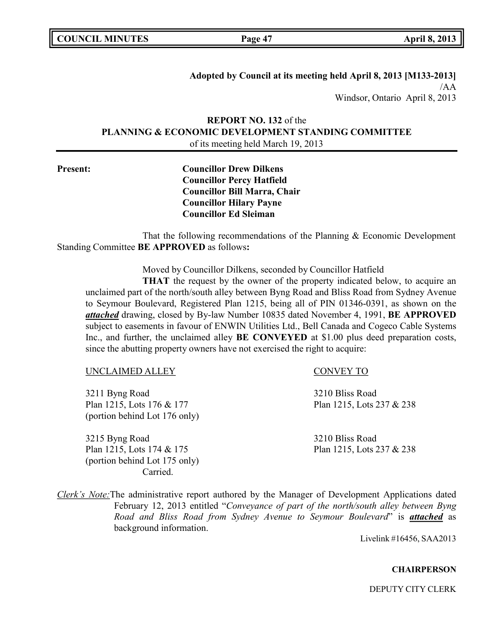|  | <b>COUNCIL MINUTES</b> |
|--|------------------------|
|--|------------------------|

**COUNCIL MINUTES Page 47 April 8, 2013**

**Adopted by Council at its meeting held April 8, 2013 [M133-2013]** /AA Windsor, Ontario April 8, 2013

**REPORT NO. 132** of the **PLANNING & ECONOMIC DEVELOPMENT STANDING COMMITTEE** of its meeting held March 19, 2013

**Present: Councillor Drew Dilkens Councillor Percy Hatfield Councillor Bill Marra, Chair Councillor Hilary Payne Councillor Ed Sleiman**

That the following recommendations of the Planning & Economic Development Standing Committee **BE APPROVED** as follows**:**

Moved by Councillor Dilkens, seconded by Councillor Hatfield

**THAT** the request by the owner of the property indicated below, to acquire an unclaimed part of the north/south alley between Byng Road and Bliss Road from Sydney Avenue to Seymour Boulevard, Registered Plan 1215, being all of PIN 01346-0391, as shown on the *attached* drawing, closed by By-law Number 10835 dated November 4, 1991, **BE APPROVED** subject to easements in favour of ENWIN Utilities Ltd., Bell Canada and Cogeco Cable Systems Inc., and further, the unclaimed alley **BE CONVEYED** at \$1.00 plus deed preparation costs, since the abutting property owners have not exercised the right to acquire:

### UNCLAIMED ALLEY CONVEY TO

3211 Byng Road 3210 Bliss Road Plan 1215, Lots 176 & 177 Plan 1215, Lots 237 & 238 (portion behind Lot 176 only)

3215 Byng Road 3210 Bliss Road Plan 1215, Lots 174 & 175 Plan 1215, Lots 237 & 238 (portion behind Lot 175 only) Carried.

*Clerk's Note:*The administrative report authored by the Manager of Development Applications dated February 12, 2013 entitled "*Conveyance of part of the north/south alley between Byng Road and Bliss Road from Sydney Avenue to Seymour Boulevard*" is *attached* as background information.

Livelink #16456, SAA2013

### **CHAIRPERSON**

DEPUTY CITY CLERK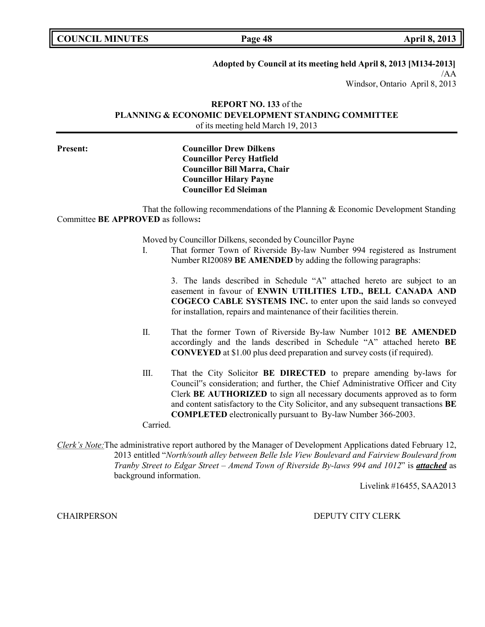**COUNCIL MINUTES Page 48 April 8, 2013**

**Adopted by Council at its meeting held April 8, 2013 [M134-2013]**

/AA Windsor, Ontario April 8, 2013

# **REPORT NO. 133** of the **PLANNING & ECONOMIC DEVELOPMENT STANDING COMMITTEE** of its meeting held March 19, 2013

# **Present: Councillor Drew Dilkens Councillor Percy Hatfield Councillor Bill Marra, Chair Councillor Hilary Payne Councillor Ed Sleiman**

That the following recommendations of the Planning & Economic Development Standing Committee **BE APPROVED** as follows**:**

Moved by Councillor Dilkens, seconded by Councillor Payne

I. That former Town of Riverside By-law Number 994 registered as Instrument Number RI20089 **BE AMENDED** by adding the following paragraphs:

3. The lands described in Schedule "A" attached hereto are subject to an easement in favour of **ENWIN UTILITIES LTD., BELL CANADA AND COGECO CABLE SYSTEMS INC.** to enter upon the said lands so conveyed for installation, repairs and maintenance of their facilities therein.

- II. That the former Town of Riverside By-law Number 1012 **BE AMENDED** accordingly and the lands described in Schedule "A" attached hereto **BE CONVEYED** at \$1.00 plus deed preparation and survey costs (if required).
- III. That the City Solicitor **BE DIRECTED** to prepare amending by-laws for Council"s consideration; and further, the Chief Administrative Officer and City Clerk **BE AUTHORIZED** to sign all necessary documents approved as to form and content satisfactory to the City Solicitor, and any subsequent transactions **BE COMPLETED** electronically pursuant to By-law Number 366-2003.

Carried.

*Clerk's Note:*The administrative report authored by the Manager of Development Applications dated February 12, 2013 entitled "*North/south alley between Belle Isle View Boulevard and Fairview Boulevard from Tranby Street to Edgar Street – Amend Town of Riverside By-laws 994 and 1012*" is *attached* as background information.

Livelink #16455, SAA2013

CHAIRPERSON DEPUTY CITY CLERK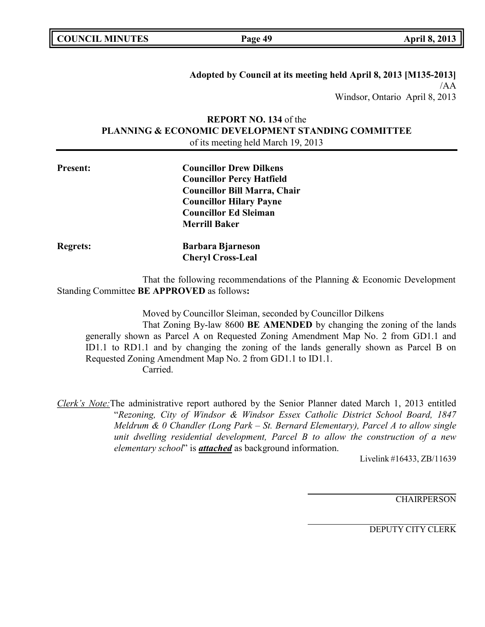| <b>COUNCIL MINUTES</b> |  |
|------------------------|--|
|------------------------|--|

**COUNCIL MINUTES Page 49 April 8, 2013**

**Adopted by Council at its meeting held April 8, 2013 [M135-2013]** /AA Windsor, Ontario April 8, 2013

# **REPORT NO. 134** of the **PLANNING & ECONOMIC DEVELOPMENT STANDING COMMITTEE** of its meeting held March 19, 2013

| <b>Present:</b> | <b>Councillor Drew Dilkens</b>      |
|-----------------|-------------------------------------|
|                 | <b>Councillor Percy Hatfield</b>    |
|                 | <b>Councillor Bill Marra, Chair</b> |
|                 | <b>Councillor Hilary Payne</b>      |
|                 | <b>Councillor Ed Sleiman</b>        |
|                 | <b>Merrill Baker</b>                |
| <b>Regrets:</b> | <b>Barbara Bjarneson</b>            |
|                 | <b>Cheryl Cross-Leal</b>            |

That the following recommendations of the Planning & Economic Development Standing Committee **BE APPROVED** as follows**:**

Moved by Councillor Sleiman, seconded by Councillor Dilkens

That Zoning By-law 8600 **BE AMENDED** by changing the zoning of the lands generally shown as Parcel A on Requested Zoning Amendment Map No. 2 from GD1.1 and ID1.1 to RD1.1 and by changing the zoning of the lands generally shown as Parcel B on Requested Zoning Amendment Map No. 2 from GD1.1 to ID1.1. Carried.

*Clerk's Note:*The administrative report authored by the Senior Planner dated March 1, 2013 entitled "*Rezoning, City of Windsor & Windsor Essex Catholic District School Board, 1847 Meldrum & 0 Chandler (Long Park – St. Bernard Elementary), Parcel A to allow single unit dwelling residential development, Parcel B to allow the construction of a new elementary school*" is *attached* as background information.

Livelink #16433, ZB/11639

**CHAIRPERSON** 

DEPUTY CITY CLERK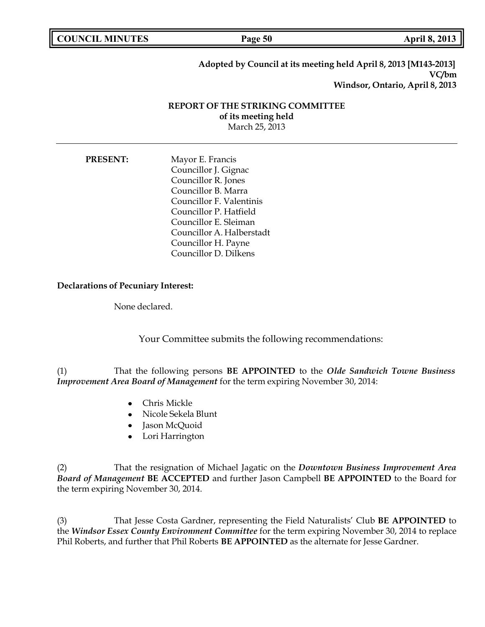**COUNCIL MINUTES Page 50 April 8, 2013**

# **Adopted by Council at its meeting held April 8, 2013 [M143-2013] VC/bm Windsor, Ontario, April 8, 2013**

# **REPORT OF THE STRIKING COMMITTEE of its meeting held** March 25, 2013

| <b>PRESENT:</b> | Mayor E. Francis          |
|-----------------|---------------------------|
|                 | Councillor J. Gignac      |
|                 | Councillor R. Jones       |
|                 | Councillor B. Marra       |
|                 | Councillor F. Valentinis  |
|                 | Councillor P. Hatfield    |
|                 | Councillor E. Sleiman     |
|                 | Councillor A. Halberstadt |
|                 | Councillor H. Payne       |
|                 | Councillor D. Dilkens     |

## **Declarations of Pecuniary Interest:**

None declared.

Your Committee submits the following recommendations:

(1) That the following persons **BE APPOINTED** to the *Olde Sandwich Towne Business Improvement Area Board of Management* for the term expiring November 30, 2014:

- Chris Mickle
- Nicole Sekela Blunt
- Jason McQuoid
- Lori Harrington

(2) That the resignation of Michael Jagatic on the *Downtown Business Improvement Area Board of Management* **BE ACCEPTED** and further Jason Campbell **BE APPOINTED** to the Board for the term expiring November 30, 2014.

(3) That Jesse Costa Gardner, representing the Field Naturalists' Club **BE APPOINTED** to the *Windsor Essex County Environment Committee* for the term expiring November 30, 2014 to replace Phil Roberts, and further that Phil Roberts **BE APPOINTED** as the alternate for Jesse Gardner.